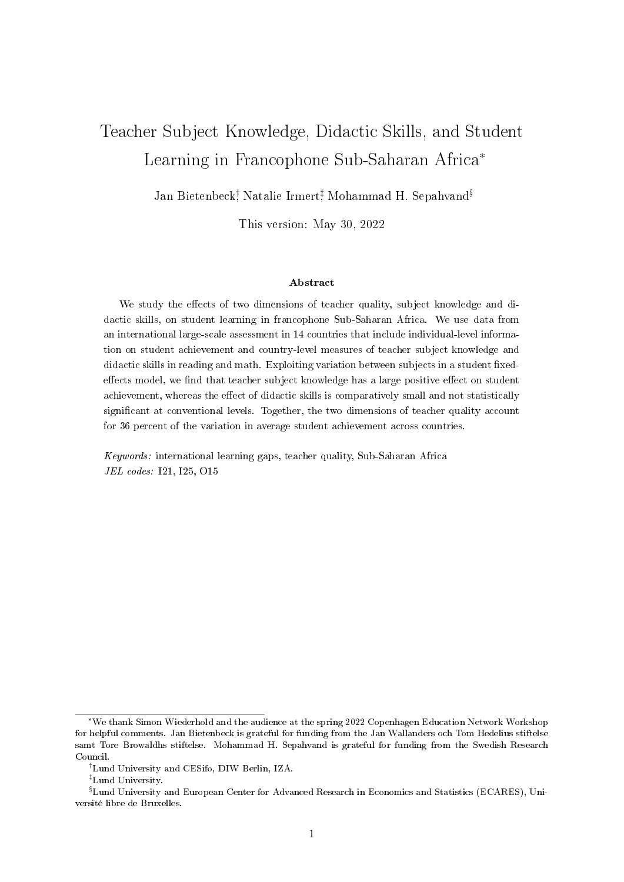# Teacher Subject Knowledge, Didactic Skills, and Student Learning in Francophone Sub-Saharan Africa\*

Jan Bietenbeck<sup>†</sup>, Natalie Irmert<sup>‡</sup>, Mohammad H. Sepahvand<sup>§</sup>

This version: May 30, 2022

#### Abstract

We study the effects of two dimensions of teacher quality, subject knowledge and didactic skills, on student learning in francophone Sub-Saharan Africa. We use data from an international large-scale assessment in 14 countries that include individual-level information on student achievement and country-level measures of teacher subject knowledge and didactic skills in reading and math. Exploiting variation between subjects in a student fixedeffects model, we find that teacher subject knowledge has a large positive effect on student achievement, whereas the effect of didactic skills is comparatively small and not statistically significant at conventional levels. Together, the two dimensions of teacher quality account for 36 percent of the variation in average student achievement across countries.

Keywords: international learning gaps, teacher quality, Sub-Saharan Africa JEL codes: I21, I25, O15

<sup>\*</sup>We thank Simon Wiederhold and the audience at the spring 2022 Copenhagen Education Network Workshop for helpful comments. Jan Bietenbeck is grateful for funding from the Jan Wallanders och Tom Hedelius stiftelse samt Tore Browaldhs stiftelse. Mohammad H. Sepahvand is grateful for funding from the Swedish Research Council.

Lund University and CESifo, DIW Berlin, IZA.

Lund University.

 ${}^{\S}$ Lund University and European Center for Advanced Research in Economics and Statistics (ECARES), Université libre de Bruxelles.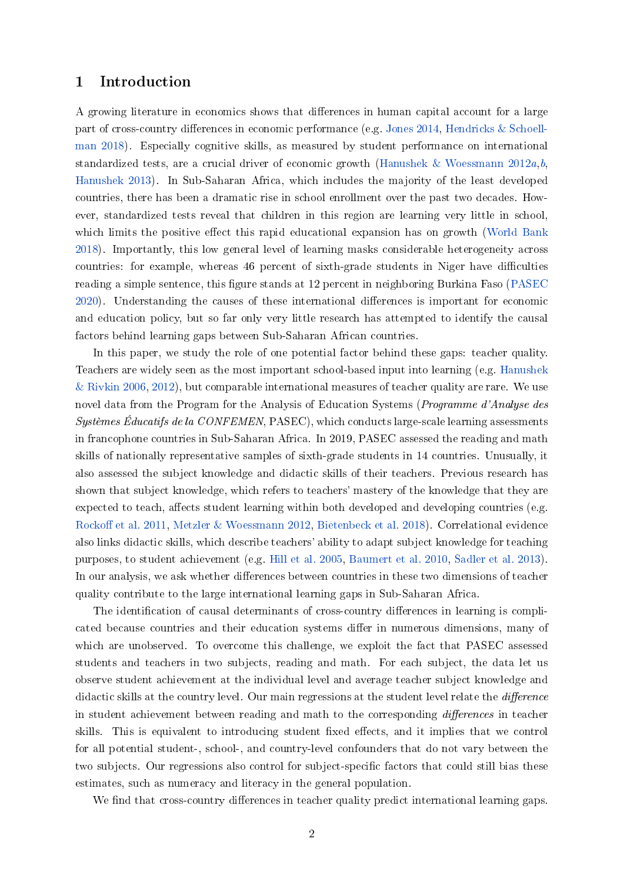# 1 Introduction

A growing literature in economics shows that differences in human capital account for a large part of cross-country differences in economic performance (e.g. [Jones](#page-14-0) [2014,](#page-14-0) [Hendricks & Schoell](#page-13-0)[man](#page-13-0) [2018\)](#page-13-0). Especially cognitive skills, as measured by student performance on international standardized tests, are a crucial driver of economic growth [\(Hanushek & Woessmann](#page-13-1)  $2012a$ [,b,](#page-13-2) [Hanushek](#page-13-3) [2013\)](#page-13-3). In Sub-Saharan Africa, which includes the majority of the least developed countries, there has been a dramatic rise in school enrollment over the past two decades. However, standardized tests reveal that children in this region are learning very little in school, which limits the positive effect this rapid educational expansion has on growth [\(World Bank](#page-14-1) [2018\)](#page-14-1). Importantly, this low general level of learning masks considerable heterogeneity across countries: for example, whereas 46 percent of sixth-grade students in Niger have difficulties reading a simple sentence, this figure stands at 12 percent in neighboring Burkina Faso [\(PASEC](#page-14-2)) [2020\)](#page-14-2). Understanding the causes of these international differences is important for economic and education policy, but so far only very little research has attempted to identify the causal factors behind learning gaps between Sub-Saharan African countries.

In this paper, we study the role of one potential factor behind these gaps: teacher quality. Teachers are widely seen as the most important school-based input into learning (e.g. [Hanushek](#page-13-4)  $\&$  Rivkin [2006,](#page-13-4) [2012\)](#page-13-5), but comparable international measures of teacher quality are rare. We use novel data from the Program for the Analysis of Education Systems (Programme d'Analyse des Systèmes Éducatifs de la CONFEMEN, PASEC), which conducts large-scale learning assessments in francophone countries in Sub-Saharan Africa. In 2019, PASEC assessed the reading and math skills of nationally representative samples of sixth-grade students in 14 countries. Unusually, it also assessed the subject knowledge and didactic skills of their teachers. Previous research has shown that subject knowledge, which refers to teachers' mastery of the knowledge that they are expected to teach, affects student learning within both developed and developing countries (e.g. Rockoff et al. [2011,](#page-14-3) [Metzler & Woessmann](#page-14-4) [2012,](#page-14-4) [Bietenbeck et al.](#page-13-6) [2018\)](#page-13-6). Correlational evidence also links didactic skills, which describe teachers' ability to adapt subject knowledge for teaching purposes, to student achievement (e.g. [Hill et al.](#page-13-7) [2005,](#page-13-7) [Baumert et al.](#page-12-0) [2010,](#page-12-0) [Sadler et al.](#page-14-5) [2013\)](#page-14-5). In our analysis, we ask whether differences between countries in these two dimensions of teacher quality contribute to the large international learning gaps in Sub-Saharan Africa.

The identification of causal determinants of cross-country differences in learning is complicated because countries and their education systems differ in numerous dimensions, many of which are unobserved. To overcome this challenge, we exploit the fact that PASEC assessed students and teachers in two subjects, reading and math. For each subject, the data let us observe student achievement at the individual level and average teacher subject knowledge and didactic skills at the country level. Our main regressions at the student level relate the *difference* in student achievement between reading and math to the corresponding differences in teacher skills. This is equivalent to introducing student fixed effects, and it implies that we control for all potential student-, school-, and country-level confounders that do not vary between the two subjects. Our regressions also control for subject-specific factors that could still bias these estimates, such as numeracy and literacy in the general population.

We find that cross-country differences in teacher quality predict international learning gaps.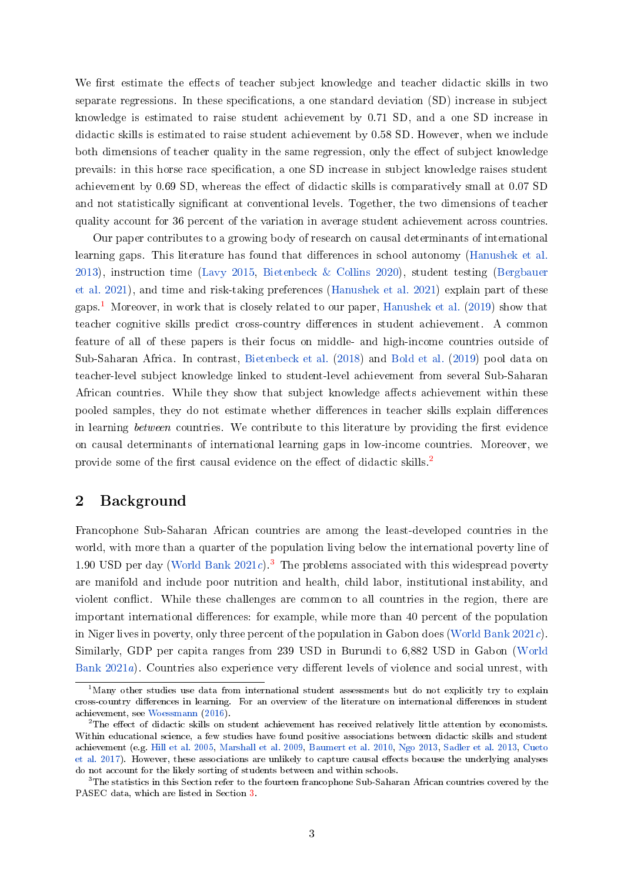We first estimate the effects of teacher subject knowledge and teacher didactic skills in two separate regressions. In these specifications, a one standard deviation (SD) increase in subject knowledge is estimated to raise student achievement by 0.71 SD, and a one SD increase in didactic skills is estimated to raise student achievement by 0.58 SD. However, when we include both dimensions of teacher quality in the same regression, only the effect of subject knowledge prevails: in this horse race specification, a one SD increase in subject knowledge raises student achievement by 0.69 SD, whereas the effect of didactic skills is comparatively small at 0.07 SD and not statistically significant at conventional levels. Together, the two dimensions of teacher quality account for 36 percent of the variation in average student achievement across countries.

Our paper contributes to a growing body of research on causal determinants of international learning gaps. This literature has found that differences in school autonomy [\(Hanushek et al.](#page-13-8) [2013\)](#page-13-8), instruction time [\(Lavy](#page-14-6) [2015,](#page-14-6) [Bietenbeck & Collins](#page-12-1) [2020\)](#page-12-1), student testing [\(Bergbauer](#page-12-2) [et al.](#page-12-2) [2021\)](#page-12-2), and time and risk-taking preferences [\(Hanushek et al.](#page-13-9) [2021\)](#page-13-9) explain part of these gaps.<sup>[1](#page-2-0)</sup> Moreover, in work that is closely related to our paper, [Hanushek et al.](#page-13-10) [\(2019\)](#page-13-10) show that teacher cognitive skills predict cross-country differences in student achievement. A common feature of all of these papers is their focus on middle- and high-income countries outside of Sub-Saharan Africa. In contrast, [Bietenbeck et al.](#page-13-6) [\(2018\)](#page-13-6) and [Bold et al.](#page-13-11) [\(2019\)](#page-13-11) pool data on teacher-level subject knowledge linked to student-level achievement from several Sub-Saharan African countries. While they show that subject knowledge affects achievement within these pooled samples, they do not estimate whether differences in teacher skills explain differences in learning between countries. We contribute to this literature by providing the first evidence on causal determinants of international learning gaps in low-income countries. Moreover, we provide some of the first causal evidence on the effect of didactic skills.<sup>[2](#page-2-1)</sup>

# <span id="page-2-3"></span>2 Background

Francophone Sub-Saharan African countries are among the least-developed countries in the world, with more than a quarter of the population living below the international poverty line of 1.90 USD per day [\(World Bank](#page-14-7)  $2021c$ ).<sup>[3](#page-2-2)</sup> The problems associated with this widespread poverty are manifold and include poor nutrition and health, child labor, institutional instability, and violent conflict. While these challenges are common to all countries in the region, there are important international differences: for example, while more than 40 percent of the population in Niger lives in poverty, only three percent of the population in Gabon does [\(World Bank](#page-14-7) [2021c\)](#page-14-7). Similarly, GDP per capita ranges from 239 USD in Burundi to 6,882 USD in Gabon [\(World](#page-14-8) [Bank](#page-14-8) [2021a\)](#page-14-8). Countries also experience very different levels of violence and social unrest, with

<span id="page-2-0"></span><sup>&</sup>lt;sup>1</sup>Many other studies use data from international student assessments but do not explicitly try to explain cross-country differences in learning. For an overview of the literature on international differences in student achievement, see [Woessmann](#page-14-9) [\(2016\)](#page-14-9).

<span id="page-2-1"></span> $^{2}$ The effect of didactic skills on student achievement has received relatively little attention by economists. Within educational science, a few studies have found positive associations between didactic skills and student achievement (e.g. [Hill et al.](#page-13-7) [2005,](#page-13-7) [Marshall et al.](#page-14-10) [2009,](#page-14-10) [Baumert et al.](#page-12-0) [2010,](#page-12-0) [Ngo](#page-14-11) [2013,](#page-14-11) [Sadler et al.](#page-14-5) [2013,](#page-14-5) [Cueto](#page-13-12) [et al.](#page-13-12) [2017\)](#page-13-12). However, these associations are unlikely to capture causal effects because the underlying analyses do not account for the likely sorting of students between and within schools.

<span id="page-2-2"></span><sup>&</sup>lt;sup>3</sup>The statistics in this Section refer to the fourteen francophone Sub-Saharan African countries covered by the PASEC data, which are listed in Section [3.](#page-3-0)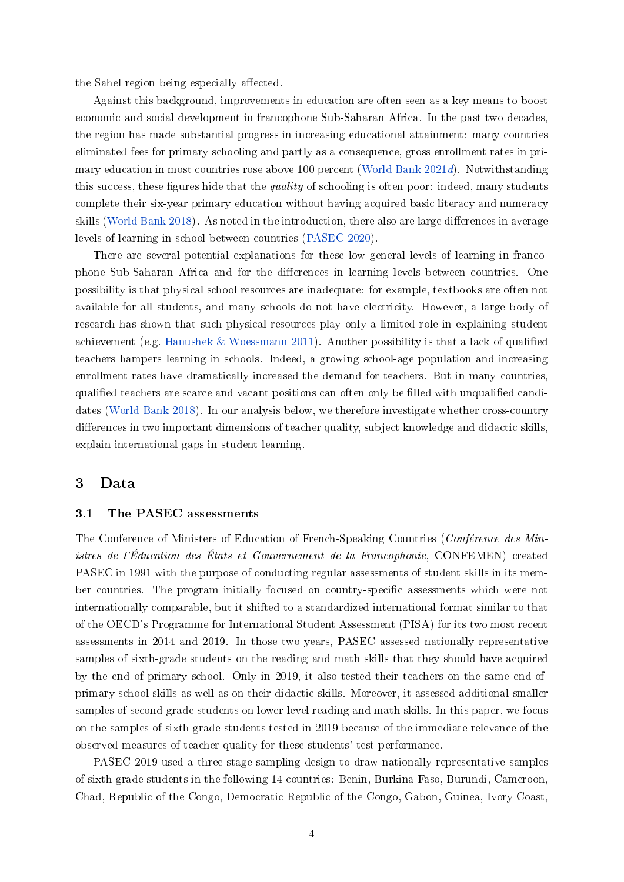the Sahel region being especially affected.

Against this background, improvements in education are often seen as a key means to boost economic and social development in francophone Sub-Saharan Africa. In the past two decades, the region has made substantial progress in increasing educational attainment: many countries eliminated fees for primary schooling and partly as a consequence, gross enrollment rates in primary education in most countries rose above 100 percent [\(World Bank](#page-15-0) [2021d\)](#page-15-0). Notwithstanding this success, these figures hide that the *quality* of schooling is often poor: indeed, many students complete their six-year primary education without having acquired basic literacy and numeracy skills [\(World Bank](#page-14-1) [2018\)](#page-14-1). As noted in the introduction, there also are large differences in average levels of learning in school between countries [\(PASEC](#page-14-2) [2020\)](#page-14-2).

There are several potential explanations for these low general levels of learning in francophone Sub-Saharan Africa and for the differences in learning levels between countries. One possibility is that physical school resources are inadequate: for example, textbooks are often not available for all students, and many schools do not have electricity. However, a large body of research has shown that such physical resources play only a limited role in explaining student achievement (e.g. [Hanushek & Woessmann](#page-13-13) [2011\)](#page-13-13). Another possibility is that a lack of qualified teachers hampers learning in schools. Indeed, a growing school-age population and increasing enrollment rates have dramatically increased the demand for teachers. But in many countries, qualified teachers are scarce and vacant positions can often only be filled with unqualified candidates [\(World Bank](#page-14-1) [2018\)](#page-14-1). In our analysis below, we therefore investigate whether cross-country differences in two important dimensions of teacher quality, subject knowledge and didactic skills, explain international gaps in student learning.

# <span id="page-3-0"></span>3 Data

### 3.1 The PASEC assessments

The Conference of Ministers of Education of French-Speaking Countries (Conférence des Ministres de l'Éducation des États et Gouvernement de la Francophonie, CONFEMEN) created PASEC in 1991 with the purpose of conducting regular assessments of student skills in its member countries. The program initially focused on country-specific assessments which were not internationally comparable, but it shifted to a standardized international format similar to that of the OECD's Programme for International Student Assessment (PISA) for its two most recent assessments in 2014 and 2019. In those two years, PASEC assessed nationally representative samples of sixth-grade students on the reading and math skills that they should have acquired by the end of primary school. Only in 2019, it also tested their teachers on the same end-ofprimary-school skills as well as on their didactic skills. Moreover, it assessed additional smaller samples of second-grade students on lower-level reading and math skills. In this paper, we focus on the samples of sixth-grade students tested in 2019 because of the immediate relevance of the observed measures of teacher quality for these students' test performance.

PASEC 2019 used a three-stage sampling design to draw nationally representative samples of sixth-grade students in the following 14 countries: Benin, Burkina Faso, Burundi, Cameroon, Chad, Republic of the Congo, Democratic Republic of the Congo, Gabon, Guinea, Ivory Coast,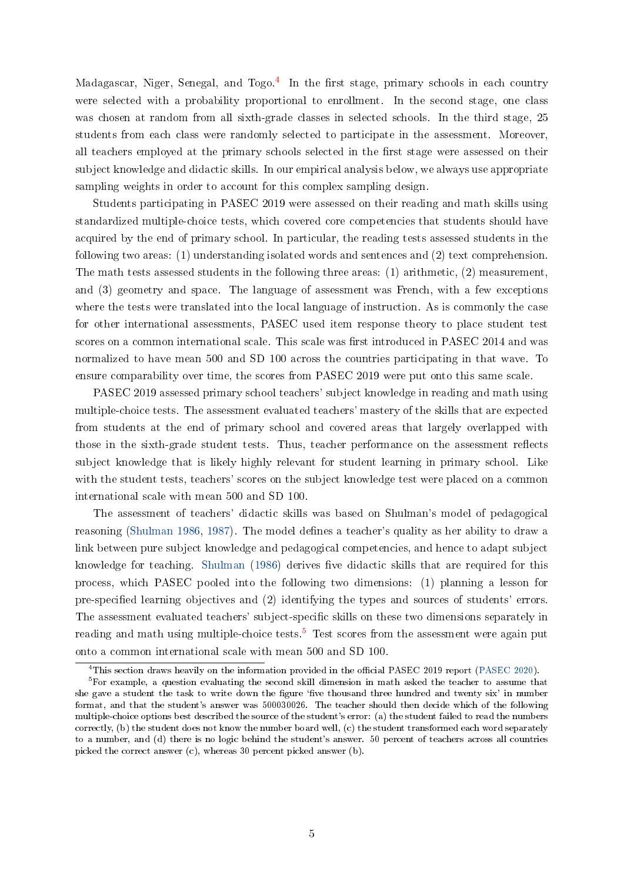Madagascar, Niger, Senegal, and Togo.<sup>[4](#page-4-0)</sup> In the first stage, primary schools in each country were selected with a probability proportional to enrollment. In the second stage, one class was chosen at random from all sixth-grade classes in selected schools. In the third stage, 25 students from each class were randomly selected to participate in the assessment. Moreover, all teachers employed at the primary schools selected in the first stage were assessed on their subject knowledge and didactic skills. In our empirical analysis below, we always use appropriate sampling weights in order to account for this complex sampling design.

Students participating in PASEC 2019 were assessed on their reading and math skills using standardized multiple-choice tests, which covered core competencies that students should have acquired by the end of primary school. In particular, the reading tests assessed students in the following two areas: (1) understanding isolated words and sentences and (2) text comprehension. The math tests assessed students in the following three areas: (1) arithmetic, (2) measurement, and (3) geometry and space. The language of assessment was French, with a few exceptions where the tests were translated into the local language of instruction. As is commonly the case for other international assessments, PASEC used item response theory to place student test scores on a common international scale. This scale was first introduced in PASEC 2014 and was normalized to have mean 500 and SD 100 across the countries participating in that wave. To ensure comparability over time, the scores from PASEC 2019 were put onto this same scale.

PASEC 2019 assessed primary school teachers' subject knowledge in reading and math using multiple-choice tests. The assessment evaluated teachers' mastery of the skills that are expected from students at the end of primary school and covered areas that largely overlapped with those in the sixth-grade student tests. Thus, teacher performance on the assessment reflects subject knowledge that is likely highly relevant for student learning in primary school. Like with the student tests, teachers' scores on the subject knowledge test were placed on a common international scale with mean 500 and SD 100.

The assessment of teachers' didactic skills was based on Shulman's model of pedagogical reasoning [\(Shulman](#page-14-12) [1986,](#page-14-12) [1987\)](#page-14-13). The model defines a teacher's quality as her ability to draw a link between pure subject knowledge and pedagogical competencies, and hence to adapt subject knowledge for teaching. [Shulman](#page-14-12) [\(1986\)](#page-14-12) derives five didactic skills that are required for this process, which PASEC pooled into the following two dimensions: (1) planning a lesson for pre-specified learning objectives and (2) identifying the types and sources of students' errors. The assessment evaluated teachers' subject-specific skills on these two dimensions separately in reading and math using multiple-choice tests.<sup>[5](#page-4-1)</sup> Test scores from the assessment were again put onto a common international scale with mean 500 and SD 100.

<span id="page-4-1"></span><span id="page-4-0"></span><sup>&</sup>lt;sup>4</sup>This section draws heavily on the information provided in the official PASEC 2019 report [\(PASEC](#page-14-2) [2020\)](#page-14-2).

 $5$ For example, a question evaluating the second skill dimension in math asked the teacher to assume that she gave a student the task to write down the figure 'five thousand three hundred and twenty six' in number format, and that the student's answer was 500030026. The teacher should then decide which of the following multiple-choice options best described the source of the student's error: (a) the student failed to read the numbers correctly, (b) the student does not know the number board well, (c) the student transformed each word separately to a number, and (d) there is no logic behind the student's answer. 50 percent of teachers across all countries picked the correct answer (c), whereas 30 percent picked answer (b).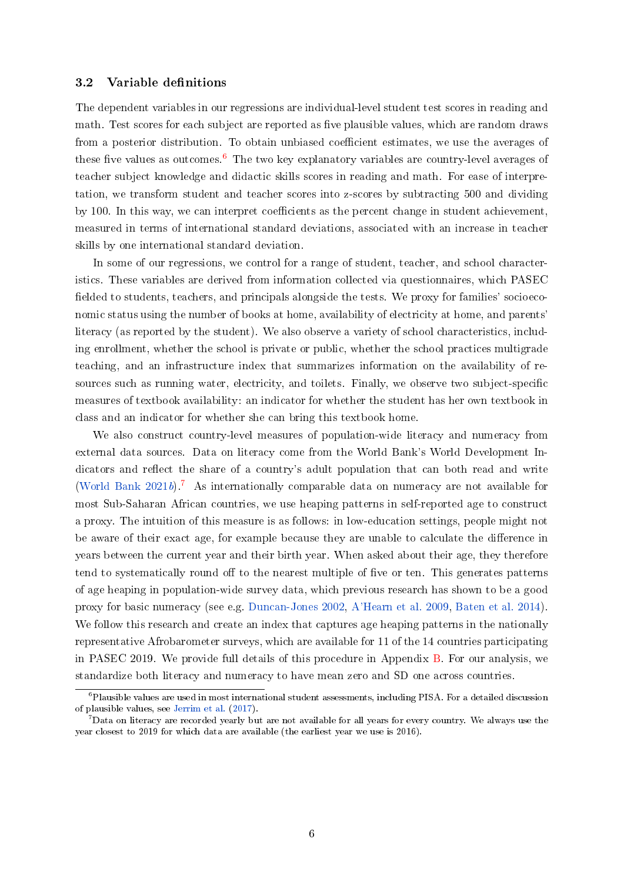#### <span id="page-5-2"></span>3.2 Variable definitions

The dependent variables in our regressions are individual-level student test scores in reading and math. Test scores for each subject are reported as five plausible values, which are random draws from a posterior distribution. To obtain unbiased coefficient estimates, we use the averages of these five values as outcomes.<sup>[6](#page-5-0)</sup> The two key explanatory variables are country-level averages of teacher subject knowledge and didactic skills scores in reading and math. For ease of interpretation, we transform student and teacher scores into z-scores by subtracting 500 and dividing by 100. In this way, we can interpret coefficients as the percent change in student achievement, measured in terms of international standard deviations, associated with an increase in teacher skills by one international standard deviation.

In some of our regressions, we control for a range of student, teacher, and school characteristics. These variables are derived from information collected via questionnaires, which PASEC fielded to students, teachers, and principals alongside the tests. We proxy for families' socioeconomic status using the number of books at home, availability of electricity at home, and parents' literacy (as reported by the student). We also observe a variety of school characteristics, including enrollment, whether the school is private or public, whether the school practices multigrade teaching, and an infrastructure index that summarizes information on the availability of resources such as running water, electricity, and toilets. Finally, we observe two subject-specific measures of textbook availability: an indicator for whether the student has her own textbook in class and an indicator for whether she can bring this textbook home.

We also construct country-level measures of population-wide literacy and numeracy from external data sources. Data on literacy come from the World Bank's World Development Indicators and reflect the share of a country's adult population that can both read and write [\(World Bank](#page-14-14) [2021b\)](#page-14-14).<sup>[7](#page-5-1)</sup> As internationally comparable data on numeracy are not available for most Sub-Saharan African countries, we use heaping patterns in self-reported age to construct a proxy. The intuition of this measure is as follows: in low-education settings, people might not be aware of their exact age, for example because they are unable to calculate the difference in years between the current year and their birth year. When asked about their age, they therefore tend to systematically round off to the nearest multiple of five or ten. This generates patterns of age heaping in population-wide survey data, which previous research has shown to be a good proxy for basic numeracy (see e.g. [Duncan-Jones](#page-13-14) [2002,](#page-13-14) [A'Hearn et al.](#page-12-3) [2009,](#page-12-3) [Baten et al.](#page-12-4) [2014\)](#page-12-4). We follow this research and create an index that captures age heaping patterns in the nationally representative Afrobarometer surveys, which are available for 11 of the 14 countries participating in PASEC 2019. We provide full details of this procedure in Appendix [B.](#page-25-0) For our analysis, we standardize both literacy and numeracy to have mean zero and SD one across countries.

<span id="page-5-0"></span> $6P$ lausible values are used in most international student assessments, including PISA. For a detailed discussion of plausible values, see [Jerrim et al.](#page-14-15) [\(2017\)](#page-14-15).

<span id="page-5-1"></span> $^7$ Data on literacy are recorded yearly but are not available for all years for every country. We always use the year closest to 2019 for which data are available (the earliest year we use is 2016).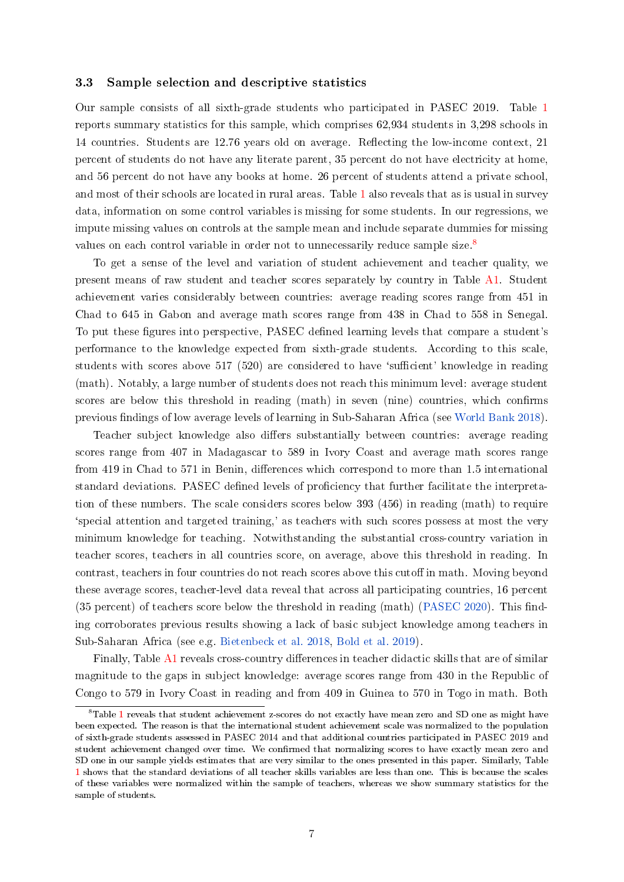#### 3.3 Sample selection and descriptive statistics

Our sample consists of all sixth-grade students who participated in PASEC 2019. Table [1](#page-17-0) reports summary statistics for this sample, which comprises 62,934 students in 3,298 schools in 14 countries. Students are 12.76 years old on average. Reflecting the low-income context, 21 percent of students do not have any literate parent, 35 percent do not have electricity at home, and 56 percent do not have any books at home. 26 percent of students attend a private school, and most of their schools are located in rural areas. Table [1](#page-17-0) also reveals that as is usual in survey data, information on some control variables is missing for some students. In our regressions, we impute missing values on controls at the sample mean and include separate dummies for missing values on each control variable in order not to unnecessarily reduce sample size.<sup>[8](#page-6-0)</sup>

To get a sense of the level and variation of student achievement and teacher quality, we present means of raw student and teacher scores separately by country in Table [A1.](#page-22-0) Student achievement varies considerably between countries: average reading scores range from 451 in Chad to 645 in Gabon and average math scores range from 438 in Chad to 558 in Senegal. To put these figures into perspective, PASEC defined learning levels that compare a student's performance to the knowledge expected from sixth-grade students. According to this scale, students with scores above 517 (520) are considered to have 'sufficient' knowledge in reading (math). Notably, a large number of students does not reach this minimum level: average student scores are below this threshold in reading (math) in seven (nine) countries, which confirms previous findings of low average levels of learning in Sub-Saharan Africa (see [World Bank](#page-14-1) [2018\)](#page-14-1).

Teacher subject knowledge also differs substantially between countries: average reading scores range from 407 in Madagascar to 589 in Ivory Coast and average math scores range from 419 in Chad to 571 in Benin, differences which correspond to more than 1.5 international standard deviations. PASEC defined levels of proficiency that further facilitate the interpretation of these numbers. The scale considers scores below 393 (456) in reading (math) to require `special attention and targeted training,' as teachers with such scores possess at most the very minimum knowledge for teaching. Notwithstanding the substantial cross-country variation in teacher scores, teachers in all countries score, on average, above this threshold in reading. In contrast, teachers in four countries do not reach scores above this cutoff in math. Moving beyond these average scores, teacher-level data reveal that across all participating countries, 16 percent (35 percent) of teachers score below the threshold in reading (math) [\(PASEC](#page-14-2) [2020\)](#page-14-2). This finding corroborates previous results showing a lack of basic subject knowledge among teachers in Sub-Saharan Africa (see e.g. [Bietenbeck et al.](#page-13-6) [2018,](#page-13-6) [Bold et al.](#page-13-11) [2019\)](#page-13-11).

Finally, Table [A1](#page-22-0) reveals cross-country differences in teacher didactic skills that are of similar magnitude to the gaps in subject knowledge: average scores range from 430 in the Republic of Congo to 579 in Ivory Coast in reading and from 409 in Guinea to 570 in Togo in math. Both

<span id="page-6-0"></span> $8$ Table [1](#page-17-0) reveals that student achievement z-scores do not exactly have mean zero and SD one as might have been expected. The reason is that the international student achievement scale was normalized to the population of sixth-grade students assessed in PASEC 2014 and that additional countries participated in PASEC 2019 and student achievement changed over time. We confirmed that normalizing scores to have exactly mean zero and SD one in our sample yields estimates that are very similar to the ones presented in this paper. Similarly, Table [1](#page-17-0) shows that the standard deviations of all teacher skills variables are less than one. This is because the scales of these variables were normalized within the sample of teachers, whereas we show summary statistics for the sample of students.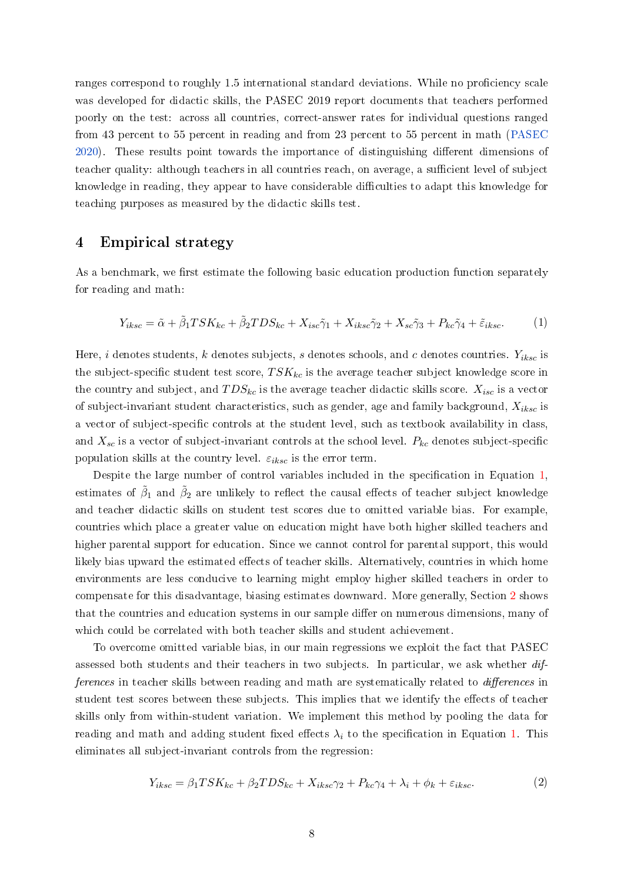ranges correspond to roughly 1.5 international standard deviations. While no proficiency scale was developed for didactic skills, the PASEC 2019 report documents that teachers performed poorly on the test: across all countries, correct-answer rates for individual questions ranged from 43 percent to 55 percent in reading and from 23 percent to 55 percent in math [\(PASEC](#page-14-2) [2020\)](#page-14-2). These results point towards the importance of distinguishing different dimensions of teacher quality: although teachers in all countries reach, on average, a sufficient level of subject knowledge in reading, they appear to have considerable difficulties to adapt this knowledge for teaching purposes as measured by the didactic skills test.

## <span id="page-7-2"></span>4 Empirical strategy

As a benchmark, we first estimate the following basic education production function separately for reading and math:

$$
Y_{iksc} = \tilde{\alpha} + \tilde{\beta}_1 TSK_{kc} + \tilde{\beta}_2 TDS_{kc} + X_{isc}\tilde{\gamma}_1 + X_{iksc}\tilde{\gamma}_2 + X_{sc}\tilde{\gamma}_3 + P_{kc}\tilde{\gamma}_4 + \tilde{\varepsilon}_{iksc}.
$$
 (1)

<span id="page-7-0"></span>Here, i denotes students, k denotes subjects, s denotes schools, and c denotes countries.  $Y_{iksc}$  is the subject-specific student test score,  $TSK_{kc}$  is the average teacher subject knowledge score in the country and subject, and  $TDS_{kc}$  is the average teacher didactic skills score.  $X_{isc}$  is a vector of subject-invariant student characteristics, such as gender, age and family background,  $X_{iksc}$  is a vector of subject-specific controls at the student level, such as textbook availability in class, and  $X_{sc}$  is a vector of subject-invariant controls at the school level.  $P_{kc}$  denotes subject-specific population skills at the country level.  $\varepsilon_{iksc}$  is the error term.

Despite the large number of control variables included in the specification in Equation [1,](#page-7-0) estimates of  $\tilde\beta_1$  and  $\tilde\beta_2$  are unlikely to reflect the causal effects of teacher subject knowledge and teacher didactic skills on student test scores due to omitted variable bias. For example, countries which place a greater value on education might have both higher skilled teachers and higher parental support for education. Since we cannot control for parental support, this would likely bias upward the estimated effects of teacher skills. Alternatively, countries in which home environments are less conducive to learning might employ higher skilled teachers in order to compensate for this disadvantage, biasing estimates downward. More generally, Section [2](#page-2-3) shows that the countries and education systems in our sample differ on numerous dimensions, many of which could be correlated with both teacher skills and student achievement.

To overcome omitted variable bias, in our main regressions we exploit the fact that PASEC assessed both students and their teachers in two subjects. In particular, we ask whether differences in teacher skills between reading and math are systematically related to *differences* in student test scores between these subjects. This implies that we identify the effects of teacher skills only from within-student variation. We implement this method by pooling the data for reading and math and adding student fixed effects  $\lambda_i$  to the specification in Equation [1.](#page-7-0) This eliminates all subject-invariant controls from the regression:

<span id="page-7-1"></span>
$$
Y_{iksc} = \beta_1 T S K_{kc} + \beta_2 T D S_{kc} + X_{iksc} \gamma_2 + P_{kc} \gamma_4 + \lambda_i + \phi_k + \varepsilon_{iksc}.
$$

$$
\tag{2}
$$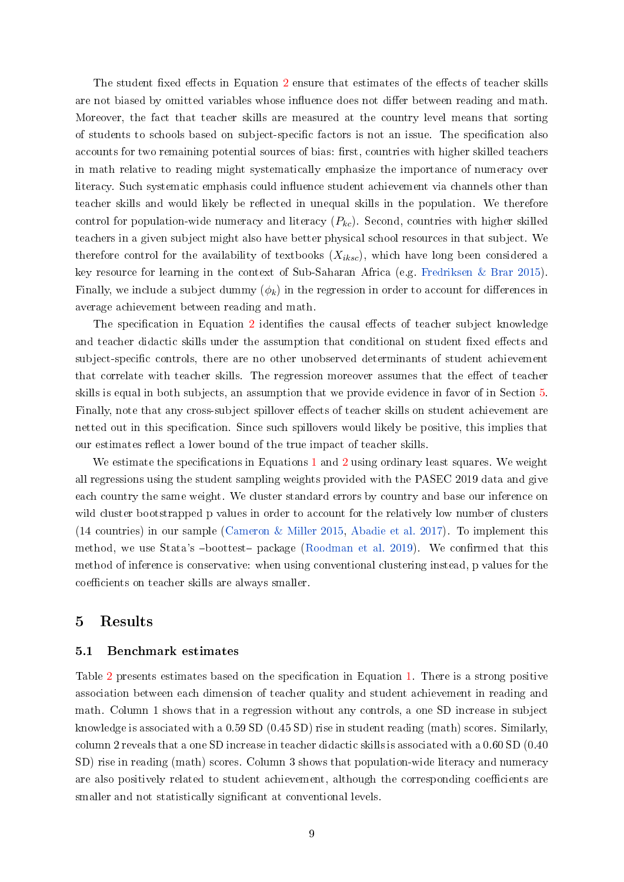The student fixed effects in Equation [2](#page-7-1) ensure that estimates of the effects of teacher skills are not biased by omitted variables whose influence does not differ between reading and math. Moreover, the fact that teacher skills are measured at the country level means that sorting of students to schools based on subject-specific factors is not an issue. The specification also accounts for two remaining potential sources of bias: first, countries with higher skilled teachers in math relative to reading might systematically emphasize the importance of numeracy over literacy. Such systematic emphasis could influence student achievement via channels other than teacher skills and would likely be reflected in unequal skills in the population. We therefore control for population-wide numeracy and literacy  $(P_{kc})$ . Second, countries with higher skilled teachers in a given subject might also have better physical school resources in that subject. We therefore control for the availability of textbooks  $(X_{iksc})$ , which have long been considered a key resource for learning in the context of Sub-Saharan Africa (e.g. [Fredriksen & Brar](#page-13-15) [2015\)](#page-13-15). Finally, we include a subject dummy  $(\phi_k)$  in the regression in order to account for differences in average achievement between reading and math.

The specification in Equation [2](#page-7-1) identifies the causal effects of teacher subject knowledge and teacher didactic skills under the assumption that conditional on student fixed effects and subject-specific controls, there are no other unobserved determinants of student achievement that correlate with teacher skills. The regression moreover assumes that the effect of teacher skills is equal in both subjects, an assumption that we provide evidence in favor of in Section [5.](#page-8-0) Finally, note that any cross-subject spillover effects of teacher skills on student achievement are netted out in this specification. Since such spillovers would likely be positive, this implies that our estimates reflect a lower bound of the true impact of teacher skills.

We estimate the specifications in Equations [1](#page-7-0) and [2](#page-7-1) using ordinary least squares. We weight all regressions using the student sampling weights provided with the PASEC 2019 data and give each country the same weight. We cluster standard errors by country and base our inference on wild cluster bootstrapped p values in order to account for the relatively low number of clusters (14 countries) in our sample [\(Cameron & Miller](#page-13-16) [2015,](#page-13-16) [Abadie et al.](#page-12-5) [2017\)](#page-12-5). To implement this method, we use Stata's -boottest- package [\(Roodman et al.](#page-14-16) [2019\)](#page-14-16). We confirmed that this method of inference is conservative: when using conventional clustering instead, p values for the coefficients on teacher skills are always smaller.

## <span id="page-8-0"></span>5 Results

#### 5.1 Benchmark estimates

Table [2](#page-18-0) presents estimates based on the specification in Equation [1.](#page-7-0) There is a strong positive association between each dimension of teacher quality and student achievement in reading and math. Column 1 shows that in a regression without any controls, a one SD increase in subject knowledge is associated with a 0.59 SD (0.45 SD) rise in student reading (math) scores. Similarly, column 2 reveals that a one SD increase in teacher didactic skills is associated with a 0.60 SD (0.40 SD) rise in reading (math) scores. Column 3 shows that population-wide literacy and numeracy are also positively related to student achievement, although the corresponding coefficients are smaller and not statistically significant at conventional levels.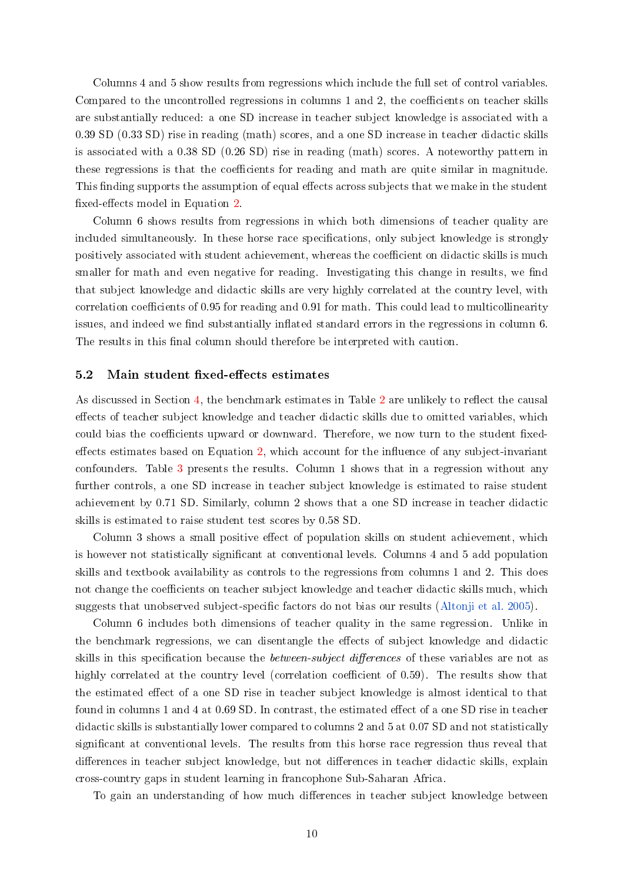Columns 4 and 5 show results from regressions which include the full set of control variables. Compared to the uncontrolled regressions in columns  $1$  and  $2$ , the coefficients on teacher skills are substantially reduced: a one SD increase in teacher subject knowledge is associated with a 0.39 SD (0.33 SD) rise in reading (math) scores, and a one SD increase in teacher didactic skills is associated with a 0.38 SD (0.26 SD) rise in reading (math) scores. A noteworthy pattern in these regressions is that the coefficients for reading and math are quite similar in magnitude. This finding supports the assumption of equal effects across subjects that we make in the student fixed-effects model in Equation [2.](#page-7-1)

Column 6 shows results from regressions in which both dimensions of teacher quality are included simultaneously. In these horse race specifications, only subject knowledge is strongly positively associated with student achievement, whereas the coefficient on didactic skills is much smaller for math and even negative for reading. Investigating this change in results, we find that subject knowledge and didactic skills are very highly correlated at the country level, with correlation coefficients of 0.95 for reading and 0.91 for math. This could lead to multicollinearity issues, and indeed we find substantially inflated standard errors in the regressions in column 6. The results in this final column should therefore be interpreted with caution.

#### 5.2 Main student fixed-effects estimates

As discussed in Section [4,](#page-7-2) the benchmark estimates in Table [2](#page-18-0) are unlikely to reflect the causal effects of teacher subject knowledge and teacher didactic skills due to omitted variables, which could bias the coefficients upward or downward. Therefore, we now turn to the student fixedeffects estimates based on Equation  $2$ , which account for the influence of any subject-invariant confounders. Table [3](#page-19-0) presents the results. Column 1 shows that in a regression without any further controls, a one SD increase in teacher subject knowledge is estimated to raise student achievement by 0.71 SD. Similarly, column 2 shows that a one SD increase in teacher didactic skills is estimated to raise student test scores by 0.58 SD.

Column 3 shows a small positive effect of population skills on student achievement, which is however not statistically significant at conventional levels. Columns 4 and 5 add population skills and textbook availability as controls to the regressions from columns 1 and 2. This does not change the coefficients on teacher subject knowledge and teacher didactic skills much, which suggests that unobserved subject-specific factors do not bias our results [\(Altonji et al.](#page-12-6) [2005\)](#page-12-6).

Column 6 includes both dimensions of teacher quality in the same regression. Unlike in the benchmark regressions, we can disentangle the effects of subject knowledge and didactic skills in this specification because the *between-subject differences* of these variables are not as highly correlated at the country level (correlation coefficient of  $(0.59)$ ). The results show that the estimated effect of a one SD rise in teacher subject knowledge is almost identical to that found in columns 1 and 4 at 0.69 SD. In contrast, the estimated effect of a one SD rise in teacher didactic skills is substantially lower compared to columns 2 and 5 at 0.07 SD and not statistically significant at conventional levels. The results from this horse race regression thus reveal that differences in teacher subject knowledge, but not differences in teacher didactic skills, explain cross-country gaps in student learning in francophone Sub-Saharan Africa.

To gain an understanding of how much differences in teacher subject knowledge between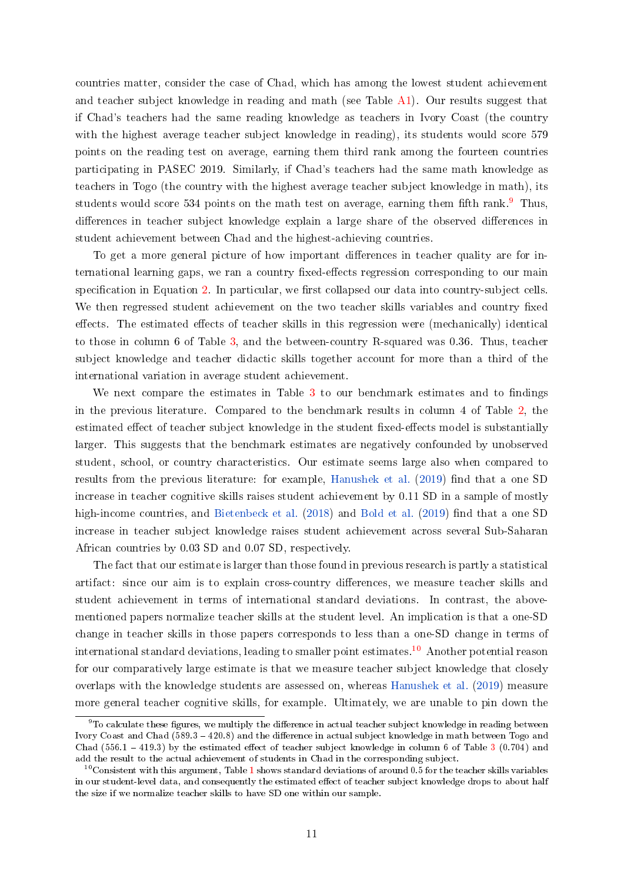countries matter, consider the case of Chad, which has among the lowest student achievement and teacher subject knowledge in reading and math (see Table [A1\)](#page-22-0). Our results suggest that if Chad's teachers had the same reading knowledge as teachers in Ivory Coast (the country with the highest average teacher subject knowledge in reading), its students would score 579 points on the reading test on average, earning them third rank among the fourteen countries participating in PASEC 2019. Similarly, if Chad's teachers had the same math knowledge as teachers in Togo (the country with the highest average teacher subject knowledge in math), its students would score 534 points on the math test on average, earning them fifth rank.<sup>[9](#page-10-0)</sup> Thus, differences in teacher subject knowledge explain a large share of the observed differences in student achievement between Chad and the highest-achieving countries.

To get a more general picture of how important differences in teacher quality are for international learning gaps, we ran a country fixed-effects regression corresponding to our main specification in Equation [2.](#page-7-1) In particular, we first collapsed our data into country-subject cells. We then regressed student achievement on the two teacher skills variables and country fixed effects. The estimated effects of teacher skills in this regression were (mechanically) identical to those in column 6 of Table [3,](#page-19-0) and the between-country R-squared was 0.36. Thus, teacher subject knowledge and teacher didactic skills together account for more than a third of the international variation in average student achievement.

We next compare the estimates in Table  $3$  to our benchmark estimates and to findings in the previous literature. Compared to the benchmark results in column 4 of Table [2,](#page-18-0) the estimated effect of teacher subject knowledge in the student fixed-effects model is substantially larger. This suggests that the benchmark estimates are negatively confounded by unobserved student, school, or country characteristics. Our estimate seems large also when compared to results from the previous literature: for example, [Hanushek et al.](#page-13-10) [\(2019\)](#page-13-10) find that a one SD increase in teacher cognitive skills raises student achievement by 0.11 SD in a sample of mostly high-income countries, and [Bietenbeck et al.](#page-13-6)  $(2018)$  and [Bold et al.](#page-13-11)  $(2019)$  find that a one SD increase in teacher subject knowledge raises student achievement across several Sub-Saharan African countries by 0.03 SD and 0.07 SD, respectively.

The fact that our estimate is larger than those found in previous research is partly a statistical artifact: since our aim is to explain cross-country differences, we measure teacher skills and student achievement in terms of international standard deviations. In contrast, the abovementioned papers normalize teacher skills at the student level. An implication is that a one-SD change in teacher skills in those papers corresponds to less than a one-SD change in terms of international standard deviations, leading to smaller point estimates.<sup>[10](#page-10-1)</sup> Another potential reason for our comparatively large estimate is that we measure teacher subject knowledge that closely overlaps with the knowledge students are assessed on, whereas [Hanushek et al.](#page-13-10) [\(2019\)](#page-13-10) measure more general teacher cognitive skills, for example. Ultimately, we are unable to pin down the

<span id="page-10-0"></span> $9$ To calculate these figures, we multiply the difference in actual teacher subject knowledge in reading between Ivory Coast and Chad (589.3 - 420.8) and the difference in actual subject knowledge in math between Togo and Chad (556.1 - 419.[3](#page-19-0)) by the estimated effect of teacher subject knowledge in column 6 of Table 3 (0.704) and add the result to the actual achievement of students in Chad in the corresponding subject.

<span id="page-10-1"></span> $10^0$  $10^0$ Consistent with this argument, Table 1 shows standard deviations of around 0.5 for the teacher skills variables in our student-level data, and consequently the estimated effect of teacher subject knowledge drops to about half the size if we normalize teacher skills to have SD one within our sample.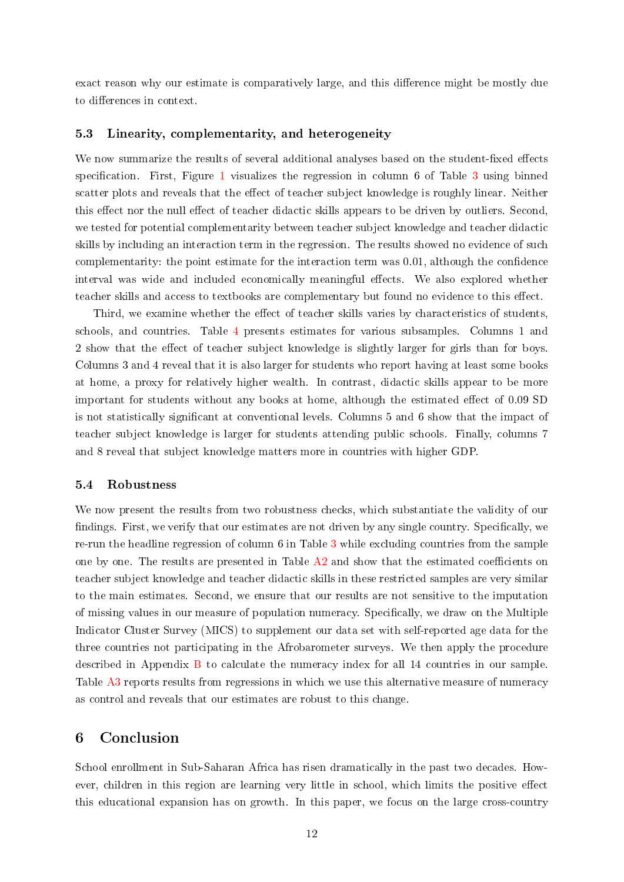exact reason why our estimate is comparatively large, and this difference might be mostly due to differences in context.

#### 5.3 Linearity, complementarity, and heterogeneity

We now summarize the results of several additional analyses based on the student-fixed effects specification. First, Figure [1](#page-16-0) visualizes the regression in column 6 of Table [3](#page-19-0) using binned scatter plots and reveals that the effect of teacher subject knowledge is roughly linear. Neither this effect nor the null effect of teacher didactic skills appears to be driven by outliers. Second, we tested for potential complementarity between teacher subject knowledge and teacher didactic skills by including an interaction term in the regression. The results showed no evidence of such complementarity: the point estimate for the interaction term was 0.01, although the confidence interval was wide and included economically meaningful effects. We also explored whether teacher skills and access to textbooks are complementary but found no evidence to this effect.

Third, we examine whether the effect of teacher skills varies by characteristics of students, schools, and countries. Table [4](#page-20-0) presents estimates for various subsamples. Columns 1 and 2 show that the effect of teacher subject knowledge is slightly larger for girls than for boys. Columns 3 and 4 reveal that it is also larger for students who report having at least some books at home, a proxy for relatively higher wealth. In contrast, didactic skills appear to be more important for students without any books at home, although the estimated effect of  $0.09$  SD is not statistically signicant at conventional levels. Columns 5 and 6 show that the impact of teacher subject knowledge is larger for students attending public schools. Finally, columns 7 and 8 reveal that subject knowledge matters more in countries with higher GDP.

#### 5.4 Robustness

We now present the results from two robustness checks, which substantiate the validity of our findings. First, we verify that our estimates are not driven by any single country. Specifically, we re-run the headline regression of column 6 in Table [3](#page-19-0) while excluding countries from the sample one by one. The results are presented in Table  $A2$  and show that the estimated coefficients on teacher subject knowledge and teacher didactic skills in these restricted samples are very similar to the main estimates. Second, we ensure that our results are not sensitive to the imputation of missing values in our measure of population numeracy. Specically, we draw on the Multiple Indicator Cluster Survey (MICS) to supplement our data set with self-reported age data for the three countries not participating in the Afrobarometer surveys. We then apply the procedure described in Appendix [B](#page-25-0) to calculate the numeracy index for all 14 countries in our sample. Table [A3](#page-24-0) reports results from regressions in which we use this alternative measure of numeracy as control and reveals that our estimates are robust to this change.

# 6 Conclusion

School enrollment in Sub-Saharan Africa has risen dramatically in the past two decades. However, children in this region are learning very little in school, which limits the positive effect this educational expansion has on growth. In this paper, we focus on the large cross-country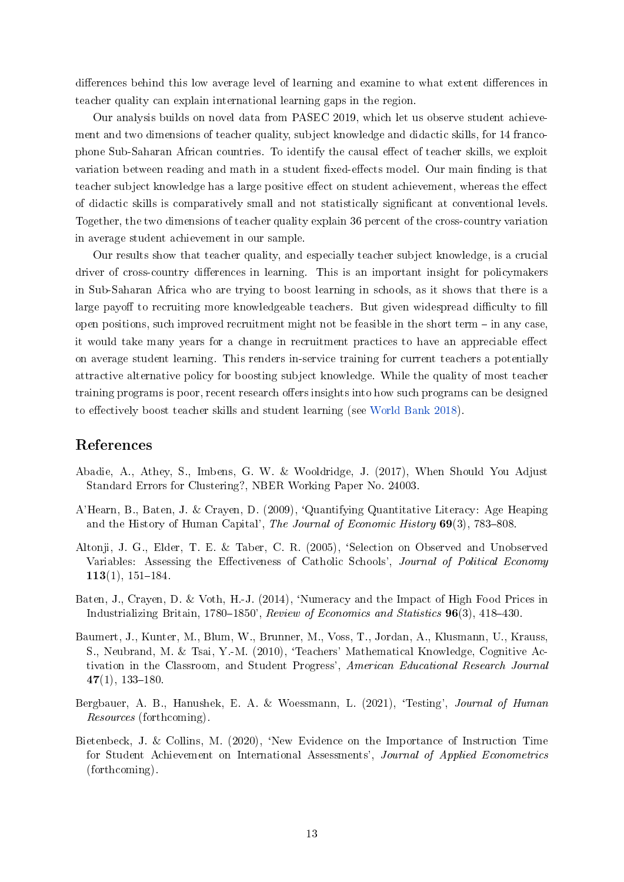differences behind this low average level of learning and examine to what extent differences in teacher quality can explain international learning gaps in the region.

Our analysis builds on novel data from PASEC 2019, which let us observe student achievement and two dimensions of teacher quality, subject knowledge and didactic skills, for 14 francophone Sub-Saharan African countries. To identify the causal effect of teacher skills, we exploit variation between reading and math in a student fixed-effects model. Our main finding is that teacher subject knowledge has a large positive effect on student achievement, whereas the effect of didactic skills is comparatively small and not statistically signicant at conventional levels. Together, the two dimensions of teacher quality explain 36 percent of the cross-country variation in average student achievement in our sample.

Our results show that teacher quality, and especially teacher subject knowledge, is a crucial driver of cross-country differences in learning. This is an important insight for policymakers in Sub-Saharan Africa who are trying to boost learning in schools, as it shows that there is a large payoff to recruiting more knowledgeable teachers. But given widespread difficulty to fill open positions, such improved recruitment might not be feasible in the short term  $-$  in any case, it would take many years for a change in recruitment practices to have an appreciable effect on average student learning. This renders in-service training for current teachers a potentially attractive alternative policy for boosting subject knowledge. While the quality of most teacher training programs is poor, recent research offers insights into how such programs can be designed to effectively boost teacher skills and student learning (see [World Bank](#page-14-1) [2018\)](#page-14-1).

# References

- <span id="page-12-5"></span>Abadie, A., Athey, S., Imbens, G. W. & Wooldridge, J. (2017), When Should You Adjust Standard Errors for Clustering?, NBER Working Paper No. 24003.
- <span id="page-12-3"></span>A'Hearn, B., Baten, J. & Crayen, D. (2009), `Quantifying Quantitative Literacy: Age Heaping and the History of Human Capital', The Journal of Economic History  $69(3)$ , 783-808.
- <span id="page-12-6"></span>Altonji, J. G., Elder, T. E. & Taber, C. R. (2005), `Selection on Observed and Unobserved Variables: Assessing the Effectiveness of Catholic Schools', Journal of Political Economy  $113(1), 151-184.$
- <span id="page-12-4"></span>Baten, J., Crayen, D. & Voth, H.-J. (2014), 'Numeracy and the Impact of High Food Prices in Industrializing Britain, 1780–1850', Review of Economics and Statistics  $96(3)$ , 418–430.
- <span id="page-12-0"></span>Baumert, J., Kunter, M., Blum, W., Brunner, M., Voss, T., Jordan, A., Klusmann, U., Krauss, S., Neubrand, M. & Tsai, Y.-M. (2010), 'Teachers' Mathematical Knowledge, Cognitive Activation in the Classroom, and Student Progress', American Educational Research Journal  $47(1), 133-180.$
- <span id="page-12-2"></span>Bergbauer, A. B., Hanushek, E. A. & Woessmann, L. (2021), 'Testing', Journal of Human Resources (forthcoming).
- <span id="page-12-1"></span>Bietenbeck, J. & Collins, M. (2020), `New Evidence on the Importance of Instruction Time for Student Achievement on International Assessments', Journal of Applied Econometrics (forthcoming).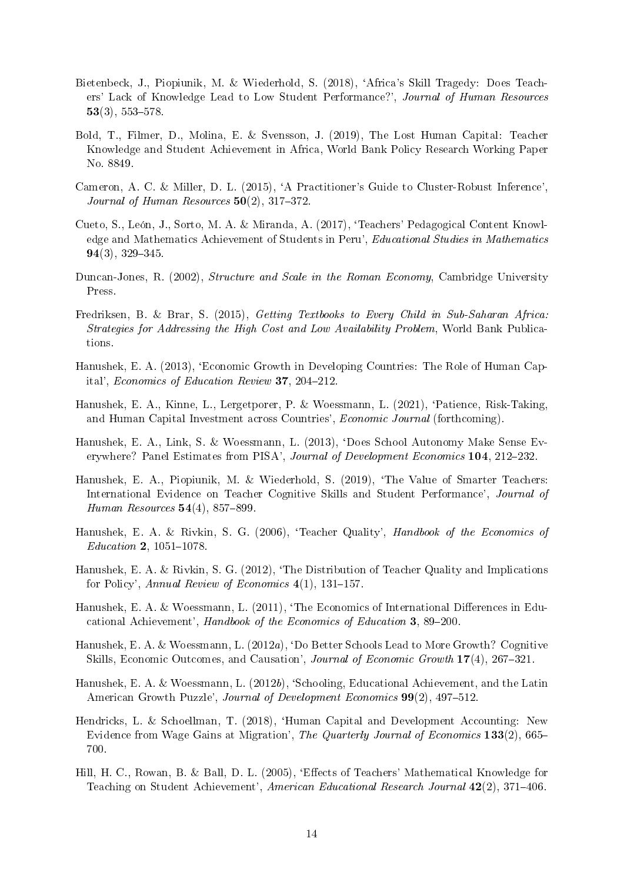- <span id="page-13-6"></span>Bietenbeck, J., Piopiunik, M. & Wiederhold, S. (2018), `Africa's Skill Tragedy: Does Teachers' Lack of Knowledge Lead to Low Student Performance?', Journal of Human Resources  $53(3)$ ,  $553-578$ .
- <span id="page-13-11"></span>Bold, T., Filmer, D., Molina, E. & Svensson, J. (2019), The Lost Human Capital: Teacher Knowledge and Student Achievement in Africa, World Bank Policy Research Working Paper No. 8849.
- <span id="page-13-16"></span>Cameron, A. C. & Miller, D. L. (2015), `A Practitioner's Guide to Cluster-Robust Inference', Journal of Human Resources  $50(2)$ , 317-372.
- <span id="page-13-12"></span>Cueto, S., León, J., Sorto, M. A. & Miranda, A. (2017), `Teachers' Pedagogical Content Knowledge and Mathematics Achievement of Students in Peru', Educational Studies in Mathematics  $94(3)$ ,  $329-345$ .
- <span id="page-13-14"></span>Duncan-Jones, R. (2002), *Structure and Scale in the Roman Economy*, Cambridge University Press.
- <span id="page-13-15"></span>Fredriksen, B. & Brar, S. (2015), Getting Textbooks to Every Child in Sub-Saharan Africa: Strategies for Addressing the High Cost and Low Availability Problem, World Bank Publications.
- <span id="page-13-3"></span>Hanushek, E. A. (2013), 'Economic Growth in Developing Countries: The Role of Human Capital', Economics of Education Review 37, 204-212.
- <span id="page-13-9"></span>Hanushek, E. A., Kinne, L., Lergetporer, P. & Woessmann, L. (2021), 'Patience, Risk-Taking and Human Capital Investment across Countries', Economic Journal (forthcoming).
- <span id="page-13-8"></span>Hanushek, E. A., Link, S. & Woessmann, L. (2013), `Does School Autonomy Make Sense Everywhere? Panel Estimates from PISA', Journal of Development Economics 104, 212-232.
- <span id="page-13-10"></span>Hanushek, E. A., Piopiunik, M. & Wiederhold, S. (2019), 'The Value of Smarter Teachers: International Evidence on Teacher Cognitive Skills and Student Performance', Journal of Human Resources  $54(4)$ , 857-899.
- <span id="page-13-4"></span>Hanushek, E. A. & Rivkin, S. G. (2006), 'Teacher Quality', Handbook of the Economics of  $Education 2, 1051–1078$
- <span id="page-13-5"></span>Hanushek, E. A. & Rivkin, S. G. (2012), 'The Distribution of Teacher Quality and Implications for Policy', Annual Review of Economics  $4(1)$ , 131–157.
- <span id="page-13-13"></span>Hanushek, E. A. & Woessmann, L. (2011), 'The Economics of International Differences in Educational Achievement', Handbook of the Economics of Education 3, 89-200.
- <span id="page-13-1"></span>Hanushek, E. A. & Woessmann, L. (2012a), `Do Better Schools Lead to More Growth? Cognitive Skills, Economic Outcomes, and Causation', Journal of Economic Growth  $17(4)$ , 267-321.
- <span id="page-13-2"></span>Hanushek, E. A. & Woessmann, L. (2012b), 'Schooling, Educational Achievement, and the Latin American Growth Puzzle', Journal of Development Economics 99(2), 497-512.
- <span id="page-13-0"></span>Hendricks, L. & Schoellman, T. (2018), 'Human Capital and Development Accounting: New Evidence from Wage Gains at Migration', The Quarterly Journal of Economics 133(2), 665– 700.
- <span id="page-13-7"></span>Hill, H. C., Rowan, B. & Ball, D. L. (2005), 'Effects of Teachers' Mathematical Knowledge for Teaching on Student Achievement', American Educational Research Journal 42(2), 371-406.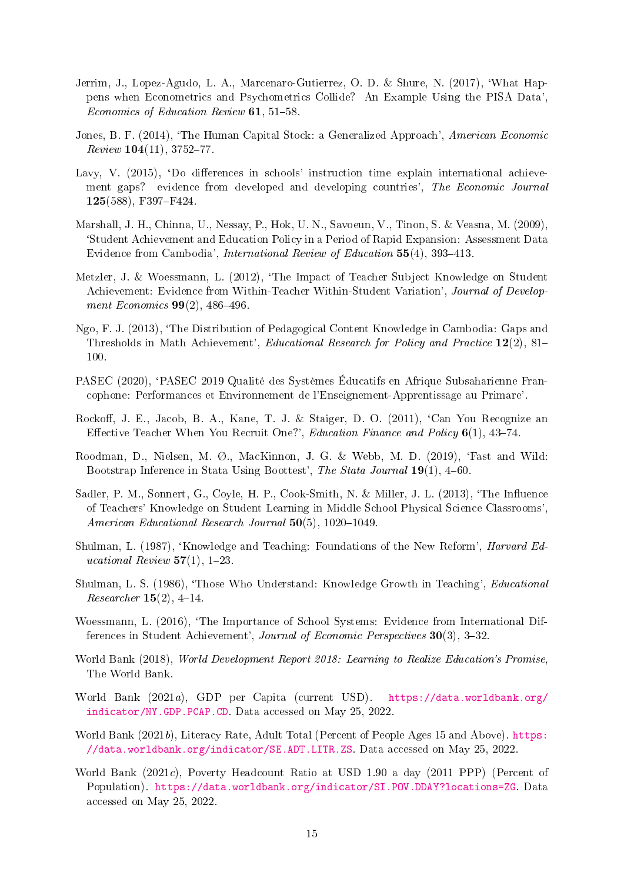- <span id="page-14-15"></span>Jerrim, J., Lopez-Agudo, L. A., Marcenaro-Gutierrez, O. D. & Shure, N. (2017), `What Happens when Econometrics and Psychometrics Collide? An Example Using the PISA Data', Economics of Education Review  $61, 51-58$ .
- <span id="page-14-0"></span>Jones, B. F. (2014), 'The Human Capital Stock: a Generalized Approach', American Economic  $Review 104(11), 3752-77.$
- <span id="page-14-6"></span>Lavy, V. (2015), 'Do differences in schools' instruction time explain international achievement gaps? evidence from developed and developing countries', The Economic Journal 125(588), F397-F424.
- <span id="page-14-10"></span>Marshall, J. H., Chinna, U., Nessay, P., Hok, U. N., Savoeun, V., Tinon, S. & Veasna, M. (2009), `Student Achievement and Education Policy in a Period of Rapid Expansion: Assessment Data Evidence from Cambodia', *International Review of Education* 55(4), 393-413.
- <span id="page-14-4"></span>Metzler, J. & Woessmann, L. (2012), 'The Impact of Teacher Subject Knowledge on Student Achievement: Evidence from Within-Teacher Within-Student Variation', Journal of Development Economics  $99(2)$ ,  $486-496$ .
- <span id="page-14-11"></span>Ngo, F. J. (2013), `The Distribution of Pedagogical Content Knowledge in Cambodia: Gaps and Thresholds in Math Achievement', Educational Research for Policy and Practice 12(2), 81– 100.
- <span id="page-14-2"></span>PASEC (2020), `PASEC 2019 Qualité des Systèmes Éducatifs en Afrique Subsaharienne Francophone: Performances et Environnement de l'Enseignement-Apprentissage au Primare'.
- <span id="page-14-3"></span>Rockoff, J. E., Jacob, B. A., Kane, T. J. & Staiger, D. O. (2011), 'Can You Recognize an Effective Teacher When You Recruit One?', Education Finance and Policy  $6(1)$ , 43-74.
- <span id="page-14-16"></span>Roodman, D., Nielsen, M. Ø., MacKinnon, J. G. & Webb, M. D.  $(2019)$ , 'Fast and Wild: Bootstrap Inference in Stata Using Boottest', The Stata Journal 19(1), 4-60.
- <span id="page-14-5"></span>Sadler, P. M., Sonnert, G., Coyle, H. P., Cook-Smith, N. & Miller, J. L. (2013), 'The Influence of Teachers' Knowledge on Student Learning in Middle School Physical Science Classrooms', American Educational Research Journal  $50(5)$ , 1020-1049.
- <span id="page-14-13"></span>Shulman, L. (1987), 'Knowledge and Teaching: Foundations of the New Reform', *Harvard Ed*ucational Review  $57(1)$ , 1-23.
- <span id="page-14-12"></span>Shulman, L. S. (1986), `Those Who Understand: Knowledge Growth in Teaching', Educational  $Researcher 15(2), 4-14.$
- <span id="page-14-9"></span>Woessmann, L. (2016), 'The Importance of School Systems: Evidence from International Differences in Student Achievement', Journal of Economic Perspectives 30(3), 3-32.
- <span id="page-14-1"></span>World Bank (2018), World Development Report 2018: Learning to Realize Education's Promise, The World Bank.
- <span id="page-14-8"></span>World Bank (2021a), GDP per Capita (current USD). [https://data.worldbank.org/](https://data.worldbank.org/indicator/NY.GDP.PCAP.CD) [indicator/NY.GDP.PCAP.CD.](https://data.worldbank.org/indicator/NY.GDP.PCAP.CD) Data accessed on May 25, 2022.
- <span id="page-14-14"></span>World Bank (2021b), Literacy Rate, Adult Total (Percent of People Ages 15 and Above). [https:](https://data.worldbank.org/indicator/SE.ADT.LITR.ZS) [//data.worldbank.org/indicator/SE.ADT.LITR.ZS.](https://data.worldbank.org/indicator/SE.ADT.LITR.ZS) Data accessed on May 25, 2022.
- <span id="page-14-7"></span>World Bank (2021c), Poverty Headcount Ratio at USD 1.90 a day (2011 PPP) (Percent of Population). [https://data.worldbank.org/indicator/SI.POV.DDAY?locations=ZG.](https://data.worldbank.org/indicator/SI.POV.DDAY?locations=ZG) Data accessed on May 25, 2022.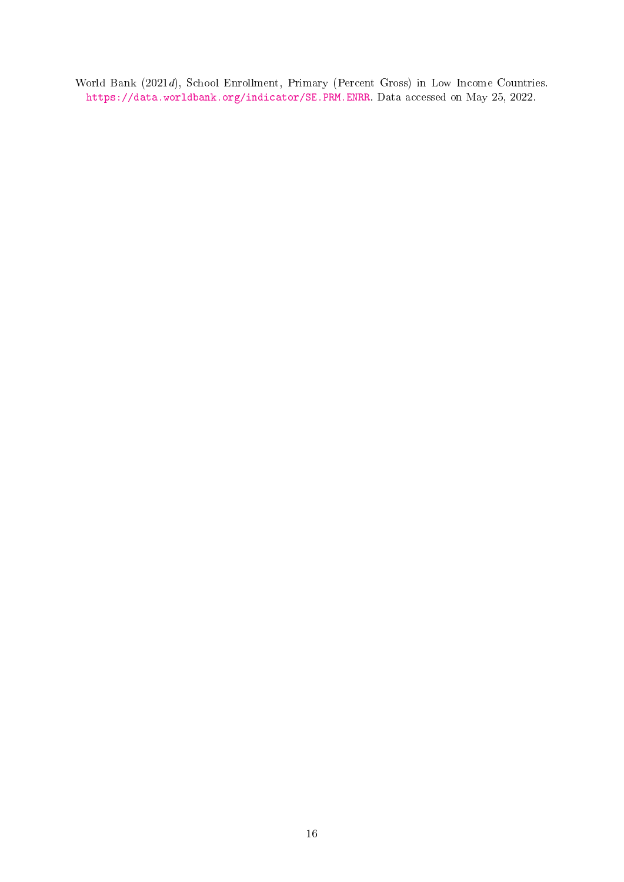<span id="page-15-0"></span>World Bank (2021d), School Enrollment, Primary (Percent Gross) in Low Income Countries. [https://data.worldbank.org/indicator/SE.PRM.ENRR.](https://data.worldbank.org/indicator/SE.PRM.ENRR) Data accessed on May 25, 2022.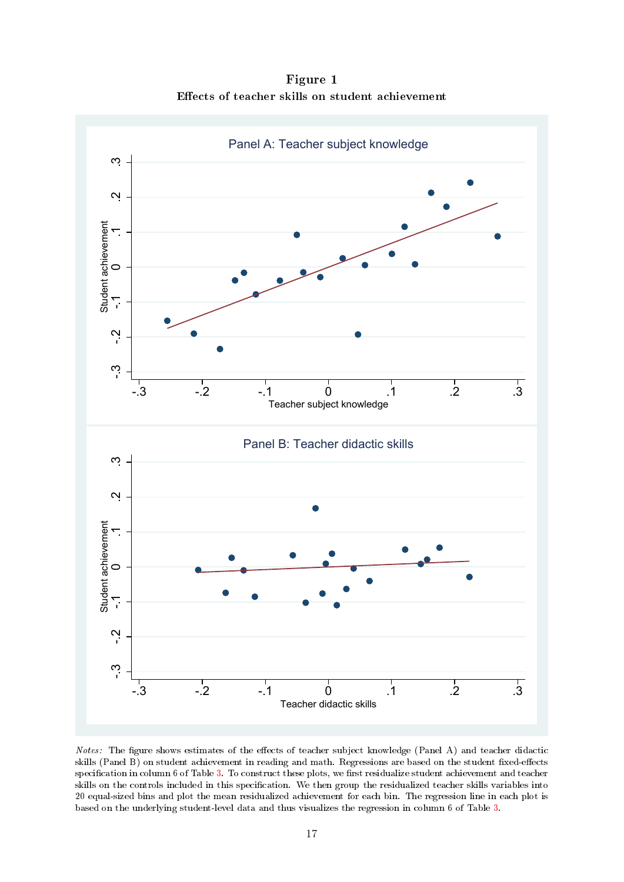Figure 1 Effects of teacher skills on student achievement

<span id="page-16-0"></span>

Notes: The figure shows estimates of the effects of teacher subject knowledge (Panel A) and teacher didactic skills (Panel B) on student achievement in reading and math. Regressions are based on the student fixed-effects specification in column 6 of Table [3.](#page-19-0) To construct these plots, we first residualize student achievement and teacher skills on the controls included in this specification. We then group the residualized teacher skills variables into 20 equal-sized bins and plot the mean residualized achievement for each bin. The regression line in each plot is based on the underlying student-level data and thus visualizes the regression in column 6 of Table [3.](#page-19-0)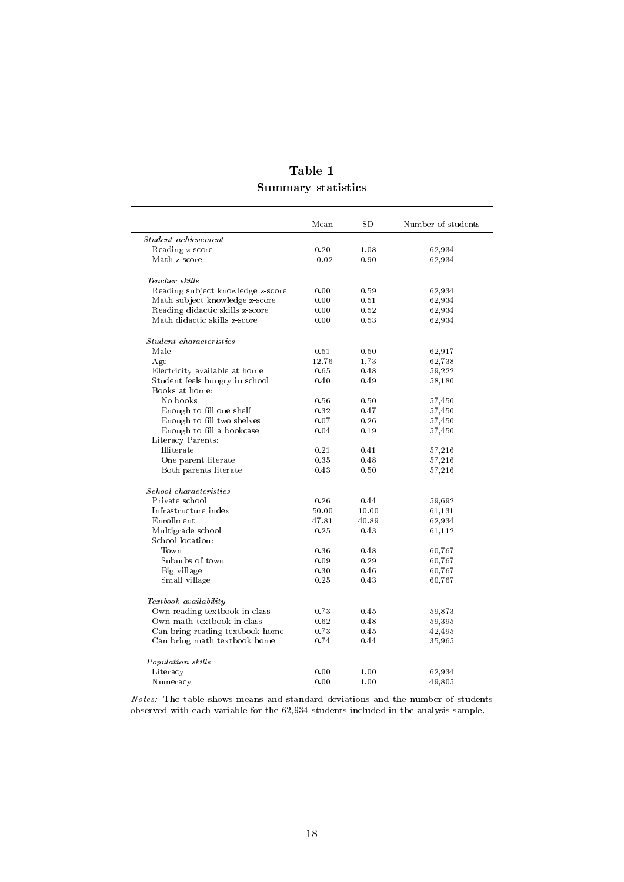| Table 1                   |
|---------------------------|
| <b>Summary statistics</b> |

<span id="page-17-0"></span>

|                                   | Mean    | $_{\rm SD}$ | Number of students |
|-----------------------------------|---------|-------------|--------------------|
| Student achievement               |         |             |                    |
| Reading z-score                   | 0.20    | 1.08        | 62,934             |
| Math z-score                      | $-0.02$ | 0.90        | 62,934             |
| Teacher skills                    |         |             |                    |
| Reading subject knowledge z-score | 0.00    | 0.59        | 62,934             |
| Math subject knowledge z-score    | 0.00    | 0.51        | 62,934             |
| Reading didactic skills z-score   | 0.00    | 0.52        | 62,934             |
| Math didactic skills z-score      | 0.00    | 0.53        | 62,934             |
| Student characteristics           |         |             |                    |
| Male                              | 0.51    | 0.50        | 62,917             |
| Age                               | 12.76   | 1.73        | 62,738             |
| Electricity available at home     | 0.65    | 0.48        | 59,222             |
| Student feels hungry in school    | 0.40    | 0.49        | 58,180             |
| Books at home:                    |         |             |                    |
| No books                          | 0.56    | 0.50        | 57,450             |
| Enough to fill one shelf          | 0.32    | 0.47        | 57,450             |
| Enough to fill two shelves        | 0.07    | 0.26        | 57,450             |
| Enough to fill a bookcase         | 0.04    | 0.19        | 57,450             |
| Literacy Parents:                 |         |             |                    |
| Illiterate                        | 0.21    | 0.41        | 57,216             |
| One parent literate               | 0.35    | 0.48        | 57,216             |
| Both parents literate             | 0.43    | 0.50        | 57,216             |
| School characteristics            |         |             |                    |
| Private school                    | 0.26    | 0.44        | 59,692             |
| Infrastructure index              | 50.00   | 10.00       | 61,131             |
| Enrollment                        | 47.81   | 40.89       | 62,934             |
| Multigrade school                 | 0.25    | 0.43        | 61,112             |
| School location:                  |         |             |                    |
| Town                              | 0.36    | 0.48        | 60,767             |
| Suburbs of town                   | 0.09    | 0.29        | 60,767             |
| Big village                       | 0.30    | 0.46        | 60,767             |
| Small village                     | 0.25    | 0.43        | 60,767             |
| Textbook availability             |         |             |                    |
| Own reading textbook in class     | 0.73    | 0.45        | 59,873             |
| Own math textbook in class        | 0.62    | 0.48        | 59,395             |
| Can bring reading textbook home   | 0.73    | 0.45        | 42,495             |
| Can bring math textbook home      | 0.74    | 0.44        | 35,965             |
| Population skills                 |         |             |                    |
| Literacy                          | 0.00    | 1.00        | 62,934             |
| Numeracy                          | 0.00    | 1.00        | 49,805             |
|                                   |         |             |                    |

Notes: The table shows means and standard deviations and the number of students observed with each variable for the 62,934 students included in the analysis sample.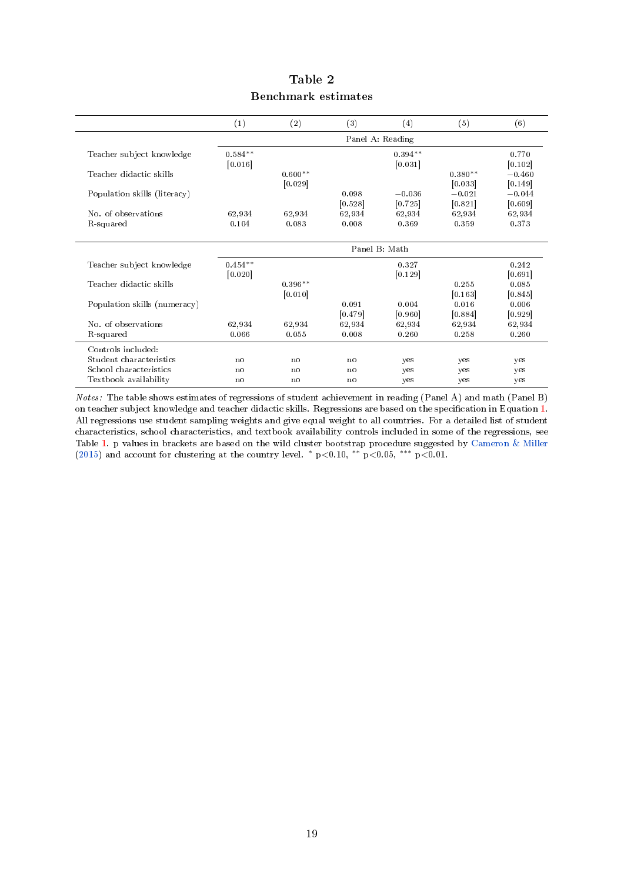<span id="page-18-0"></span>

|                              | (1)            | (2)            | (3)     | (4)              | (5)       | (6)      |
|------------------------------|----------------|----------------|---------|------------------|-----------|----------|
|                              |                |                |         | Panel A: Reading |           |          |
| Teacher subject knowledge    | $0.584**$      |                |         | $0.394**$        |           | 0.770    |
|                              | [0.016]        |                |         | [0.031]          |           | [0.102]  |
| Teacher didactic skills      |                | $0.600**$      |         |                  | $0.380**$ | $-0.460$ |
|                              |                | [0.029]        |         |                  | [0.033]   | [0.149]  |
| Population skills (literacy) |                |                | 0.098   | $-0.036$         | $-0.021$  | $-0.044$ |
|                              |                |                | [0.528] | [0.725]          | [0.821]   | [0.609]  |
| No. of observations          | 62,934         | 62,934         | 62,934  | 62,934           | 62,934    | 62,934   |
| R-squared                    | 0.104          | 0.083          | 0.008   | 0.369            | 0.359     | 0.373    |
|                              |                |                |         | Panel B: Math    |           |          |
| Teacher subject knowledge    | $0.454**$      |                |         | 0.327            |           | 0.242    |
|                              | [0.020]        |                |         | [0.129]          |           | [0.691]  |
| Teacher didactic skills      |                | $0.396**$      |         |                  | 0.255     | 0.085    |
|                              |                | [0.010]        |         |                  | [0.163]   | [0.845]  |
| Population skills (numeracy) |                |                | 0.091   | 0.004            | 0.016     | 0.006    |
|                              |                |                | [0.479] | [0.960]          | [0.884]   | [0.929]  |
| No. of observations          | 62,934         | 62,934         | 62,934  | 62,934           | 62,934    | 62,934   |
| R-squared                    | 0.066          | 0.055          | 0.008   | 0.260            | 0.258     | 0.260    |
| Controls included:           |                |                |         |                  |           |          |
| Student characteristics      | no             | no             | no      | yes              | yes       | yes      |
| School characteristics       | n <sub>0</sub> | n <sub>0</sub> | no      | yes              | yes       | yes      |
| Textbook availability        | n <sub>0</sub> | n <sub>0</sub> | no      | yes              | yes       | yes      |

# Table 2 Benchmark estimates

Notes: The table shows estimates of regressions of student achievement in reading (Panel A) and math (Panel B) on teacher subject knowledge and teacher didactic skills. Regressions are based on the specification in Equation [1.](#page-7-0) All regressions use student sampling weights and give equal weight to all countries. For a detailed list of student characteristics, school characteristics, and textbook availability controls included in some of the regressions, see Table [1.](#page-17-0) p values in brackets are based on the wild cluster bootstrap procedure suggested by [Cameron & Miller](#page-13-16) [\(2015\)](#page-13-16) and account for clustering at the country level.  $*$  p<0.10,  $*$  $*$  p<0.05,  $***$  p<0.01.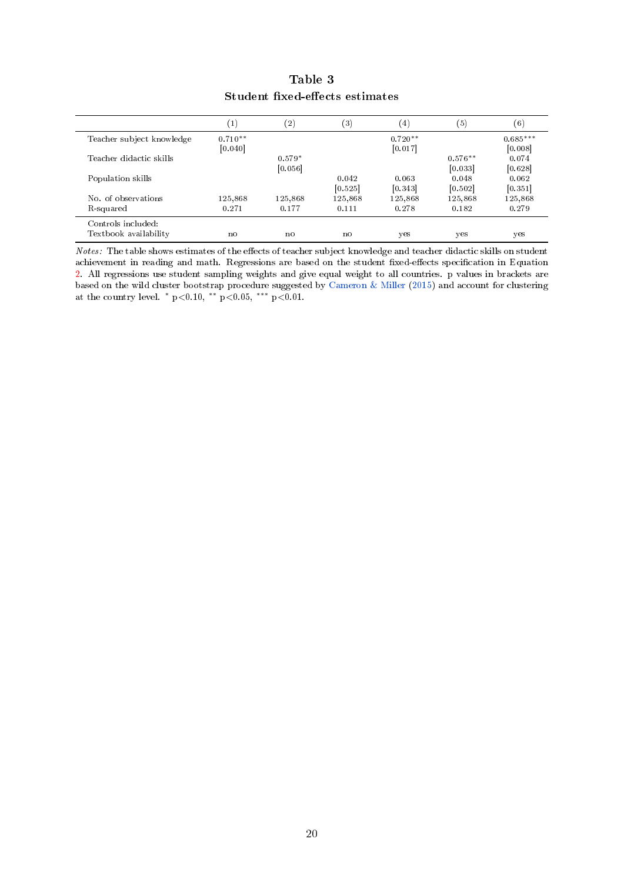<span id="page-19-0"></span>

|                           | (1)       | $\left( 2\right)$ | (3)     | $^{(4)}$  | (5)       | $^{\rm (6)}$ |
|---------------------------|-----------|-------------------|---------|-----------|-----------|--------------|
| Teacher subject knowledge | $0.710**$ |                   |         | $0.720**$ |           | $0.685***$   |
|                           | [0.040]   |                   |         | [0.017]   |           | [0.008]      |
| Teacher didactic skills   |           | $0.579*$          |         |           | $0.576**$ | 0.074        |
|                           |           | [0.056]           |         |           | [0.033]   | [0.628]      |
| Population skills         |           |                   | 0.042   | 0.063     | 0.048     | 0.062        |
|                           |           |                   | [0.525] | [0.343]   | [0.502]   | [0.351]      |
| No. of observations       | 125,868   | 125,868           | 125,868 | 125,868   | 125,868   | 125,868      |
| R-squared                 | 0.271     | 0.177             | 0.111   | 0.278     | 0.182     | 0.279        |
| Controls included:        |           |                   |         |           |           |              |
| Textbook availability     | no        | no                | no      | yes       | yes       | yes          |

# Table 3 Student fixed-effects estimates

Notes: The table shows estimates of the effects of teacher subject knowledge and teacher didactic skills on student achievement in reading and math. Regressions are based on the student fixed-effects specification in Equation [2.](#page-7-1) All regressions use student sampling weights and give equal weight to all countries. p values in brackets are based on the wild cluster bootstrap procedure suggested by [Cameron & Miller](#page-13-16) [\(2015\)](#page-13-16) and account for clustering at the country level.  $*$  p<0.10,  $**$  p<0.05,  $***$  p<0.01.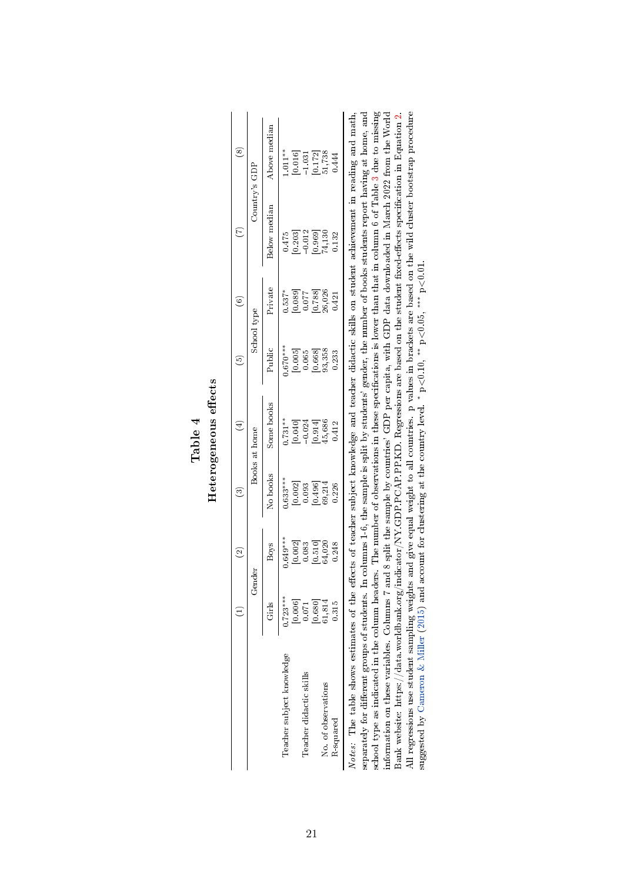<span id="page-20-0"></span>

|                           |                                                | Gender                                                                         |                       | Books at home       |                                                | School type                                    |                     | Country's GDP                                                         |
|---------------------------|------------------------------------------------|--------------------------------------------------------------------------------|-----------------------|---------------------|------------------------------------------------|------------------------------------------------|---------------------|-----------------------------------------------------------------------|
|                           | Girls                                          | <b>Boys</b>                                                                    | No books              | Some books          | Public                                         | Private                                        | Below median        | Above median                                                          |
| Teacher subject knowledge | $.723***$                                      | $0.649***$                                                                     | $0.633***$            | $0.731**$           | $0.670***$                                     | $0.537*$                                       | 0.475               | $1.011**$                                                             |
|                           |                                                |                                                                                |                       |                     |                                                |                                                |                     |                                                                       |
| Teacher didactic skills   | $\begin{bmatrix} 0.006 \\ 0.071 \end{bmatrix}$ |                                                                                | $[0.002]$<br>$0.093$  | [0.040]             | $\begin{bmatrix} 0.005 \\ 0.065 \end{bmatrix}$ | $\begin{bmatrix} 0.089 \\ 0.077 \end{bmatrix}$ | [0.203]             |                                                                       |
|                           |                                                |                                                                                |                       |                     |                                                |                                                |                     |                                                                       |
| No. of observations       | $[0.680]$<br>$61,814$                          | $\begin{array}{c} [0.002] \\ 0.083 \\ 0.510] \\ [0.510] \\ 64.020 \end{array}$ | $[0.496]$<br>$69,214$ | $[0.914]$<br>45,686 | $[0.668]$<br>$93,358$                          | $\frac{0.788}{26,026}$                         | $[0.969]$<br>74,130 | $\begin{array}{c} [0.016] \\ -1.031 \\ [0.172] \\ 51,738 \end{array}$ |
| R <sub>squared</sub>      | 0.315                                          | 0.248                                                                          | 0.226                 | 0.412               | 0.233                                          | 0.421                                          | 0.132               | 0.444                                                                 |

|   | Ξ |
|---|---|
|   | c |
| F | č |
|   |   |
|   |   |

scuoon type as muccaucu nu ne coutum neaters. The number or observations in these spectrications is lower train tratit in coutum o or table of the sample by comerties' GDP per capita, with GDP data downloaded in March 202 school type as indicated in the column headers. The number of observations in these specications is lower than that in column 6 of Table [3](#page-19-0) due to missing information on these variables. Columns 7 and 8 split the sample by countries' GDP per capita, with GDP data downloaded in March 2022 from the World Bank website: https://data.worldbank.org/indicator/NY.GDP.PCAP.PP.KD. Regressions are based on the student fixed-effects specification in Equation [2.](#page-7-1) All regressions use student sampling weights and give equal weight to all countries. p values in brackets are based on the wild cluster bootstrap procedure suggested by [Cameron](#page-13-16) & Miller [\(2015\)](#page-13-16) and account for clustering at the country level. <sup>\*</sup> p<0.10, <sup>\*\*\*</sup> p<0.05, <sup>\*\*\*</sup> p<0.01.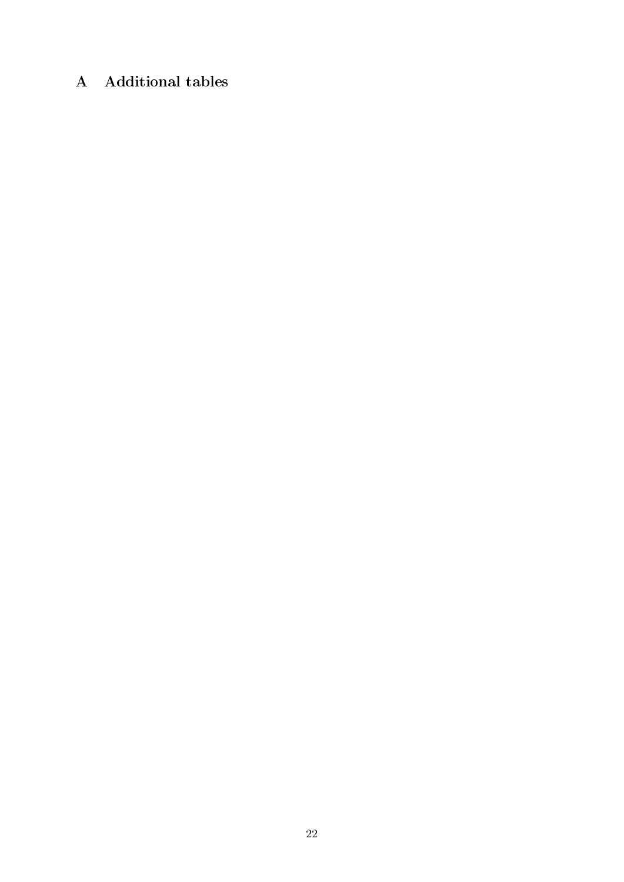# A Additional tables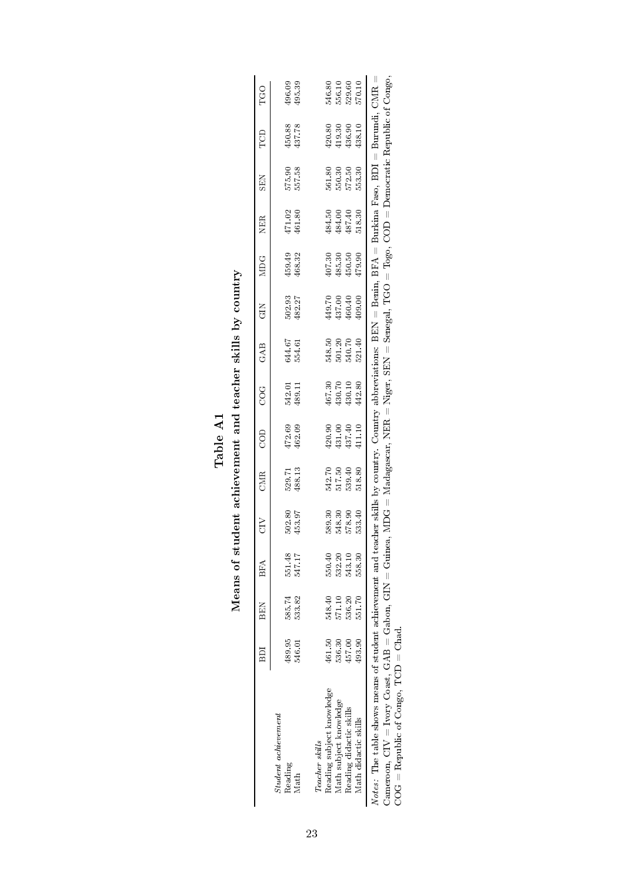<span id="page-22-0"></span>

|                                                                     | ВDI              | <b>BEN</b>       | BFA              | Ğ                          | CMR                                  | COD                                                          | CO<br>C                                                      | GAB                         | <b>GIN</b>                                                             | <b>NIDG</b>                                                         | <b>NER</b>                           | <b>SEN</b>                 | TCD                                                                                                   | TGO                                             |
|---------------------------------------------------------------------|------------------|------------------|------------------|----------------------------|--------------------------------------|--------------------------------------------------------------|--------------------------------------------------------------|-----------------------------|------------------------------------------------------------------------|---------------------------------------------------------------------|--------------------------------------|----------------------------|-------------------------------------------------------------------------------------------------------|-------------------------------------------------|
| $Student\ a$ chievement<br>Reading<br>Math                          | 489.95<br>546.01 | 585.74<br>533.82 | 551.48<br>547.17 | 502.80<br>453.97           | 529.71<br>488.13                     | 472.69<br>462.09                                             | 542.01<br>489.11                                             | 644.67<br>554.61            | 502.93<br>482.27                                                       | 459.49<br>468.32                                                    | $\frac{471.02}{461.80}$              | 575.90<br>557.58           | 450.88<br>437.78                                                                                      | $\begin{array}{c} 196.09 \\ 195.39 \end{array}$ |
| Teacher skills                                                      |                  |                  |                  |                            |                                      |                                                              |                                                              |                             |                                                                        |                                                                     |                                      |                            |                                                                                                       |                                                 |
| Reading subject knowledge                                           | $461.50\,$       | 548.40           | 550.40           |                            |                                      |                                                              |                                                              |                             |                                                                        |                                                                     |                                      |                            |                                                                                                       |                                                 |
| Math subject knowledge                                              | 536.30           | 571.10           | 532.20           |                            |                                      |                                                              |                                                              |                             |                                                                        |                                                                     |                                      |                            |                                                                                                       |                                                 |
| Reading didactic skills                                             | 457.00           | 536.20           | 543.10           | 589.30<br>548.30<br>578.90 | 542.70<br>517.50<br>518.80<br>518.50 | $\begin{array}{c} 420.90 \\ 431.40 \\ 437.40 \\ \end{array}$ | $\begin{array}{c} 467.30 \\ 430.70 \\ 430.42.80 \end{array}$ | 548.50<br>551.70<br>5521.40 | $\begin{array}{l} 14\,9.70\\ 13\,7.00\\ 46\,0.40\\ 9.00\\ \end{array}$ | $\begin{array}{c} 407.30 \\ 485.30 \\ 450.50 \\ 479.90 \end{array}$ | 484.50<br>484.00<br>487.40<br>518.30 | 561.80<br>562.50<br>562.53 | $\begin{array}{c} 420.80 \\ 419.30 \\ 436.30 \\ \end{array}$                                          | 546.80<br>556.10<br>570.10                      |
| Math didactic skills                                                | 193.90           | 551.70           | 558.30           | 533.40                     |                                      |                                                              |                                                              |                             |                                                                        |                                                                     |                                      |                            |                                                                                                       |                                                 |
| Notes: The table shows means of student achievement and teacl       |                  |                  |                  |                            |                                      |                                                              |                                                              |                             |                                                                        |                                                                     |                                      |                            | her skills by country. Country abbreviations: $BBN =$ Benin, $BFA =$ Burkina Faso, $BDI =$ Burundi, ( | $\overline{\text{CMR}}$                         |
| Cameroon, $CIV = I$ vory $Coast$ , $GAB = Ga$ bon, $GIN = Giunea$ , |                  |                  |                  |                            |                                      |                                                              |                                                              |                             |                                                                        |                                                                     |                                      |                            | $Madagascar$ , NER = Niger, SEN = Senegal, TGO = Togo, COD = Democratic Republic of Congo.            |                                                 |
| $\text{COG} = \text{Republic of Congo}, \text{TCD} = \text{Chad}.$  |                  |                  |                  |                            |                                      |                                                              |                                                              |                             |                                                                        |                                                                     |                                      |                            |                                                                                                       |                                                 |

| ـ<br>م∣ام<br>س | ist is                                            |
|----------------|---------------------------------------------------|
| j              | Aeans of student achievement and teacher skills b |

 $\check{\leq}$ I

23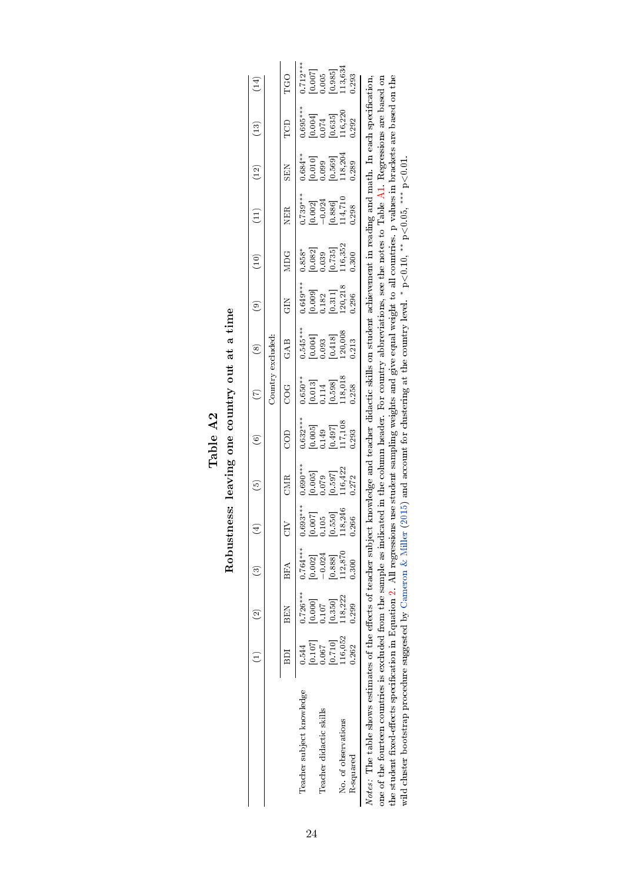<span id="page-23-0"></span>

|                                                                    |                                                                                      |                                                                       | $\frac{1}{2}$                                                          |                                                                                               | စ                                                                                            | $\odot$                                                                                                         | $\widehat{C}$                                                                                | $\circledast$                                                                                                | $\odot$                                                                                | (10)                                                                                                                              | $\begin{pmatrix} 1 \\ 2 \end{pmatrix}$                                                                 | (12)                                                                                                                                         | $(13)$                                                                                          | $\left(14\right)$                                                                     |
|--------------------------------------------------------------------|--------------------------------------------------------------------------------------|-----------------------------------------------------------------------|------------------------------------------------------------------------|-----------------------------------------------------------------------------------------------|----------------------------------------------------------------------------------------------|-----------------------------------------------------------------------------------------------------------------|----------------------------------------------------------------------------------------------|--------------------------------------------------------------------------------------------------------------|----------------------------------------------------------------------------------------|-----------------------------------------------------------------------------------------------------------------------------------|--------------------------------------------------------------------------------------------------------|----------------------------------------------------------------------------------------------------------------------------------------------|-------------------------------------------------------------------------------------------------|---------------------------------------------------------------------------------------|
|                                                                    |                                                                                      |                                                                       |                                                                        |                                                                                               |                                                                                              |                                                                                                                 | Country excluded:                                                                            |                                                                                                              |                                                                                        |                                                                                                                                   |                                                                                                        |                                                                                                                                              |                                                                                                 |                                                                                       |
|                                                                    | 6D1                                                                                  | BEN                                                                   | BFA                                                                    |                                                                                               | CMR                                                                                          | COD                                                                                                             | C<br>C                                                                                       | GAB                                                                                                          | GIN<br>G                                                                               | MDG                                                                                                                               | <b>NER</b>                                                                                             | <b>SEN</b>                                                                                                                                   | B                                                                                               | <b>DOL</b>                                                                            |
| Teacher subject knowledge                                          |                                                                                      | $0.726***$                                                            | $0.764***$                                                             |                                                                                               |                                                                                              |                                                                                                                 |                                                                                              |                                                                                                              |                                                                                        |                                                                                                                                   |                                                                                                        |                                                                                                                                              |                                                                                                 |                                                                                       |
| Teacher didactic skills                                            | $\begin{bmatrix} 0.544 \\ 0.107 \\ 0.067 \\ 0.071 \\ 0.710 \\ 116,052 \end{bmatrix}$ | $\begin{array}{c} [0.000] \\ 0.107 \\ [0.350] \\ 118,222 \end{array}$ | $\begin{array}{c} [0.002] \\ -0.024 \\ [0.888] \\ 112,870 \end{array}$ |                                                                                               |                                                                                              |                                                                                                                 |                                                                                              |                                                                                                              |                                                                                        |                                                                                                                                   |                                                                                                        |                                                                                                                                              |                                                                                                 |                                                                                       |
| No. of observations                                                |                                                                                      |                                                                       |                                                                        | $\begin{array}{l} 0.693^{***} \ 0.007 \ 0.105 \ 0.105 \ 0.550] \ 118,246 \ 0.266 \end{array}$ | $\begin{bmatrix} 0.690^{**} \ [0.005] \ 0.079 \ [0.597] \ [116,422] \ 116,422 \end{bmatrix}$ | $\begin{array}{c} 1.632^{***} \\ [0.005] \\ [0.149] \\ [0.497] \\ [0.497] \\ [17,108] \\ [117,108] \end{array}$ | $\begin{bmatrix} 650^{**} \ [0.013] \ [0.114] \ [0.598] \ [0.598] \ [118,018] \end{bmatrix}$ | $\begin{array}{c} 0.545**\\ [0.004]\\ [0.003]\\ [0.418]\\ [0.418]\\ [20,008\\ [20,008\\ 0.213\\ \end{array}$ | $\begin{array}{c} 0.649^{***} \ 0.009] \ 0.182 \ 0.311] \ 120,218 \ 0.296 \end{array}$ | $\begin{bmatrix} .858^* \ 0.082 \ 0.039 \ 0.039 \ 0.735 \end{bmatrix} \ \begin{bmatrix} 0.7352 \ 116,352 \ 116,352 \end{bmatrix}$ | $\begin{array}{l} 0.739^{***} \ \hline 10.002] \ -0.024 \ -0.886] \ \hline 14,710 \ 0.298 \end{array}$ | $\begin{bmatrix} * & * & * & * \ 0 & 0 & 10 \ 0 & 0 & 9 & 9 \ 0 & 0 & 5 & 6 \ 0 & 1 & 8 & 20 \ 0 & 1 & 8 & 20 \ 0 & 0 & 2 & 8 \end{bmatrix}$ | $\begin{array}{c} 1.695^{***} \ [0.004] \ [0.0074] \ [0.635] \ [0.635] \ [116,220] \end{array}$ | $\begin{array}{l} 0.712**\ 0.007]\ 0.005\ 0.005\ 0.985]\ 113,634\ 0.293\ \end{array}$ |
| R squared                                                          | 0.262                                                                                | 0.299                                                                 | 0.300                                                                  |                                                                                               |                                                                                              |                                                                                                                 |                                                                                              |                                                                                                              |                                                                                        |                                                                                                                                   |                                                                                                        |                                                                                                                                              |                                                                                                 |                                                                                       |
| Notes: The table shows estimates of the effects of teacher subject |                                                                                      |                                                                       |                                                                        |                                                                                               |                                                                                              |                                                                                                                 |                                                                                              | mowledge and teacher didactic skills on student                                                              |                                                                                        |                                                                                                                                   | achievement in reading and math. In each specification                                                 |                                                                                                                                              |                                                                                                 |                                                                                       |

Table A2<br>Robustness: leaving one country out at a time Robustness: leaving one country out at a time

one of the fourteen countries is excluded from the sample as indicated in the column header. For country abhreviations, see the notes to Table A1. Regressions are based on the student fixed-effects specification in Equati Notes: The table shows estimates of the effects of teacher subject knowledge and teacher didactic skills on student achievement in reading and math. In each specification, one of the fourteen countries is excluded from the sample as indicated in the column header. For country abbreviations, see the notes to Table [A1.](#page-22-0) Regressions are based on the student fixed-effects specification in Equation [2.](#page-7-1) All regressions use student sampling weights and give equal weight to all countries. p values in brackets are based on the wild cluster bootstrap procedure suggested by [Cameron](#page-13-16) & Miller [\(2015\)](#page-13-16) and account for clustering at the country level. <sup>\*</sup> p<0.10, <sup>\*\*\*</sup> p<0.05, <sup>\*\*\*</sup> p<0.01.  $\vert$   $\vert$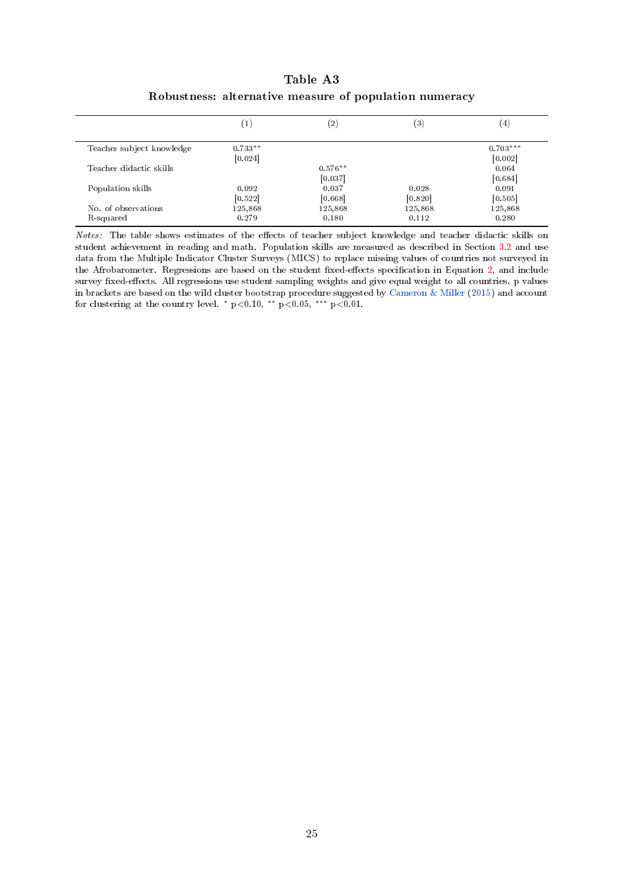<span id="page-24-0"></span>

|                           | $\mathbf{1}$ | $\left( 2\right)$ | $^{\rm (3)}$ | $\left(4\right)$ |
|---------------------------|--------------|-------------------|--------------|------------------|
| Teacher subject knowledge | $0.733**$    |                   |              | $0.703***$       |
|                           | [0.024]      |                   |              | [0.002]          |
| Teacher didactic skills   |              | $0.576**$         |              | 0.064            |
|                           |              | [0.037]           |              | [0.684]          |
| Population skills         | 0.092        | 0.037             | 0.028        | 0.091            |
|                           | [0.522]      | [0.668]           | [0.820]      | [0.505]          |
| No. of observations       | 125,868      | 125,868           | 125,868      | 125,868          |
| R-squared                 | 0.279        | 0.180             | 0.112        | 0.280            |

Table A3 Robustness: alternative measure of population numeracy

Notes: The table shows estimates of the effects of teacher subject knowledge and teacher didactic skills on student achievement in reading and math. Population skills are measured as described in Section [3.2](#page-5-2) and use data from the Multiple Indicator Cluster Surveys (MICS) to replace missing values of countries not surveyed in the Afrobarometer. Regressions are based on the student fixed-effects specification in Equation [2,](#page-7-1) and include survey fixed-effects. All regressions use student sampling weights and give equal weight to all countries. p values in brackets are based on the wild cluster bootstrap procedure suggested by [Cameron & Miller](#page-13-16) [\(2015\)](#page-13-16) and account for clustering at the country level. \*  $p<0.10$ , \*\*  $p<0.05$ , \*\*\*  $p<0.01$ .